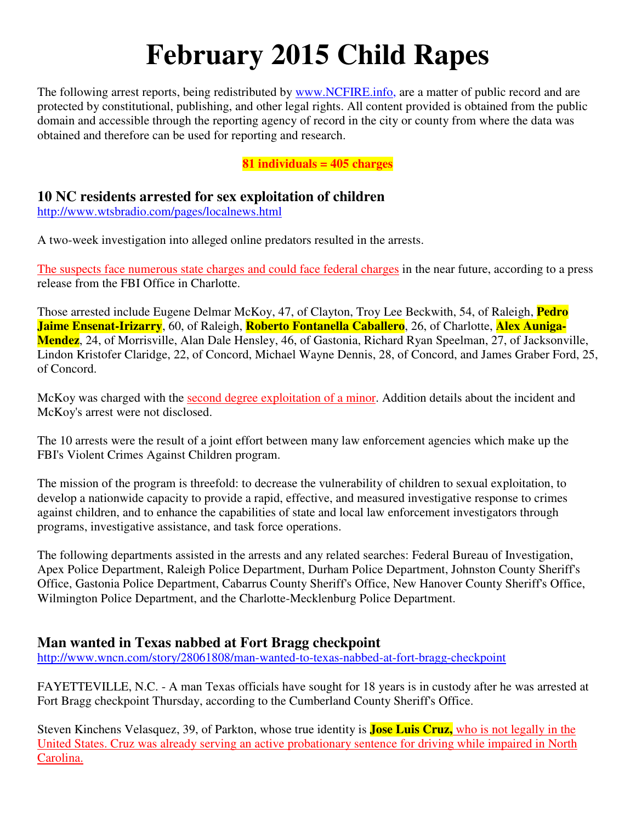# **February 2015 Child Rapes**

The following arrest reports, being redistributed by www.NCFIRE.info, are a matter of public record and are protected by constitutional, publishing, and other legal rights. All content provided is obtained from the public domain and accessible through the reporting agency of record in the city or county from where the data was obtained and therefore can be used for reporting and research.

**81 individuals = 405 charges** 

# **10 NC residents arrested for sex exploitation of children**

http://www.wtsbradio.com/pages/localnews.html

A two-week investigation into alleged online predators resulted in the arrests.

The suspects face numerous state charges and could face federal charges in the near future, according to a press release from the FBI Office in Charlotte.

Those arrested include Eugene Delmar McKoy, 47, of Clayton, Troy Lee Beckwith, 54, of Raleigh, **Pedro Jaime Ensenat-Irizarry**, 60, of Raleigh, **Roberto Fontanella Caballero**, 26, of Charlotte, **Alex Auniga-Mendez**, 24, of Morrisville, Alan Dale Hensley, 46, of Gastonia, Richard Ryan Speelman, 27, of Jacksonville, Lindon Kristofer Claridge, 22, of Concord, Michael Wayne Dennis, 28, of Concord, and James Graber Ford, 25, of Concord.

McKoy was charged with the second degree exploitation of a minor. Addition details about the incident and McKoy's arrest were not disclosed.

The 10 arrests were the result of a joint effort between many law enforcement agencies which make up the FBI's Violent Crimes Against Children program.

The mission of the program is threefold: to decrease the vulnerability of children to sexual exploitation, to develop a nationwide capacity to provide a rapid, effective, and measured investigative response to crimes against children, and to enhance the capabilities of state and local law enforcement investigators through programs, investigative assistance, and task force operations.

The following departments assisted in the arrests and any related searches: Federal Bureau of Investigation, Apex Police Department, Raleigh Police Department, Durham Police Department, Johnston County Sheriff's Office, Gastonia Police Department, Cabarrus County Sheriff's Office, New Hanover County Sheriff's Office, Wilmington Police Department, and the Charlotte-Mecklenburg Police Department.

# **Man wanted in Texas nabbed at Fort Bragg checkpoint**

http://www.wncn.com/story/28061808/man-wanted-to-texas-nabbed-at-fort-bragg-checkpoint

FAYETTEVILLE, N.C. - A man Texas officials have sought for 18 years is in custody after he was arrested at Fort Bragg checkpoint Thursday, according to the Cumberland County Sheriff's Office.

Steven Kinchens Velasquez, 39, of Parkton, whose true identity is **Jose Luis Cruz,** who is not legally in the United States. Cruz was already serving an active probationary sentence for driving while impaired in North Carolina.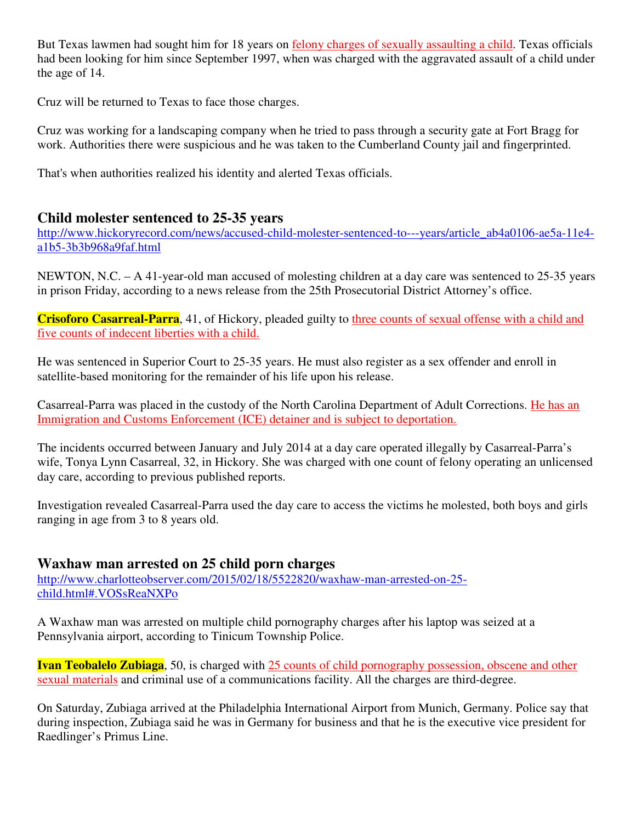But Texas lawmen had sought him for 18 years on felony charges of sexually assaulting a child. Texas officials had been looking for him since September 1997, when was charged with the aggravated assault of a child under the age of 14.

Cruz will be returned to Texas to face those charges.

Cruz was working for a landscaping company when he tried to pass through a security gate at Fort Bragg for work. Authorities there were suspicious and he was taken to the Cumberland County jail and fingerprinted.

That's when authorities realized his identity and alerted Texas officials.

# **Child molester sentenced to 25-35 years**

http://www.hickoryrecord.com/news/accused-child-molester-sentenced-to---years/article\_ab4a0106-ae5a-11e4 a1b5-3b3b968a9faf.html

NEWTON, N.C. – A 41-year-old man accused of molesting children at a day care was sentenced to 25-35 years in prison Friday, according to a news release from the 25th Prosecutorial District Attorney's office.

**Crisoforo Casarreal-Parra**, 41, of Hickory, pleaded guilty to three counts of sexual offense with a child and five counts of indecent liberties with a child.

He was sentenced in Superior Court to 25-35 years. He must also register as a sex offender and enroll in satellite-based monitoring for the remainder of his life upon his release.

Casarreal-Parra was placed in the custody of the North Carolina Department of Adult Corrections. He has an Immigration and Customs Enforcement (ICE) detainer and is subject to deportation.

The incidents occurred between January and July 2014 at a day care operated illegally by Casarreal-Parra's wife, Tonya Lynn Casarreal, 32, in Hickory. She was charged with one count of felony operating an unlicensed day care, according to previous published reports.

Investigation revealed Casarreal-Parra used the day care to access the victims he molested, both boys and girls ranging in age from 3 to 8 years old.

# **Waxhaw man arrested on 25 child porn charges**

http://www.charlotteobserver.com/2015/02/18/5522820/waxhaw-man-arrested-on-25 child.html#.VOSsReaNXPo

A Waxhaw man was arrested on multiple child pornography charges after his laptop was seized at a Pennsylvania airport, according to Tinicum Township Police.

**Ivan Teobalelo Zubiaga**, 50, is charged with 25 counts of child pornography possession, obscene and other sexual materials and criminal use of a communications facility. All the charges are third-degree.

On Saturday, Zubiaga arrived at the Philadelphia International Airport from Munich, Germany. Police say that during inspection, Zubiaga said he was in Germany for business and that he is the executive vice president for Raedlinger's Primus Line.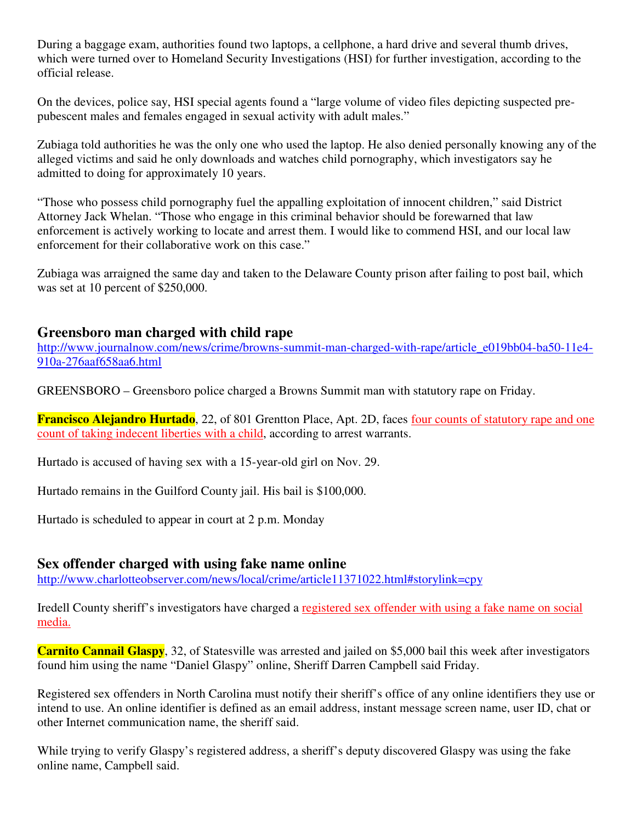During a baggage exam, authorities found two laptops, a cellphone, a hard drive and several thumb drives, which were turned over to Homeland Security Investigations (HSI) for further investigation, according to the official release.

On the devices, police say, HSI special agents found a "large volume of video files depicting suspected prepubescent males and females engaged in sexual activity with adult males."

Zubiaga told authorities he was the only one who used the laptop. He also denied personally knowing any of the alleged victims and said he only downloads and watches child pornography, which investigators say he admitted to doing for approximately 10 years.

"Those who possess child pornography fuel the appalling exploitation of innocent children," said District Attorney Jack Whelan. "Those who engage in this criminal behavior should be forewarned that law enforcement is actively working to locate and arrest them. I would like to commend HSI, and our local law enforcement for their collaborative work on this case."

Zubiaga was arraigned the same day and taken to the Delaware County prison after failing to post bail, which was set at 10 percent of \$250,000.

# **Greensboro man charged with child rape**

http://www.journalnow.com/news/crime/browns-summit-man-charged-with-rape/article\_e019bb04-ba50-11e4-910a-276aaf658aa6.html

GREENSBORO – Greensboro police charged a Browns Summit man with statutory rape on Friday.

**Francisco Alejandro Hurtado**, 22, of 801 Grentton Place, Apt. 2D, faces four counts of statutory rape and one count of taking indecent liberties with a child, according to arrest warrants.

Hurtado is accused of having sex with a 15-year-old girl on Nov. 29.

Hurtado remains in the Guilford County jail. His bail is \$100,000.

Hurtado is scheduled to appear in court at 2 p.m. Monday

## **Sex offender charged with using fake name online**

http://www.charlotteobserver.com/news/local/crime/article11371022.html#storylink=cpy

Iredell County sheriff's investigators have charged a registered sex offender with using a fake name on social media.

**Carnito Cannail Glaspy**, 32, of Statesville was arrested and jailed on \$5,000 bail this week after investigators found him using the name "Daniel Glaspy" online, Sheriff Darren Campbell said Friday.

Registered sex offenders in North Carolina must notify their sheriff's office of any online identifiers they use or intend to use. An online identifier is defined as an email address, instant message screen name, user ID, chat or other Internet communication name, the sheriff said.

While trying to verify Glaspy's registered address, a sheriff's deputy discovered Glaspy was using the fake online name, Campbell said.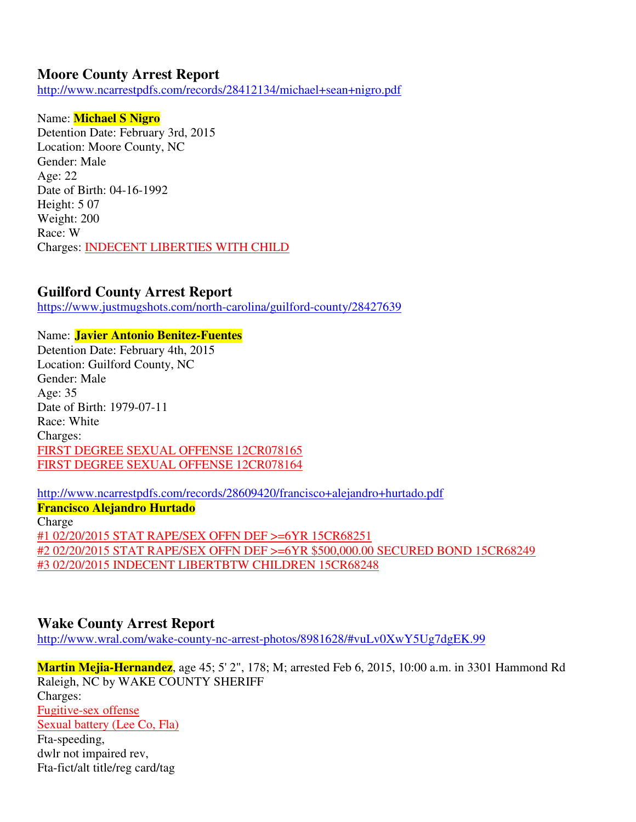## **Moore County Arrest Report**

http://www.ncarrestpdfs.com/records/28412134/michael+sean+nigro.pdf

#### Name: **Michael S Nigro**

Detention Date: February 3rd, 2015 Location: Moore County, NC Gender: Male Age: 22 Date of Birth: 04-16-1992 Height: 5 07 Weight: 200 Race: W Charges: INDECENT LIBERTIES WITH CHILD

#### **Guilford County Arrest Report**

https://www.justmugshots.com/north-carolina/guilford-county/28427639

#### Name: **Javier Antonio Benitez-Fuentes**

Detention Date: February 4th, 2015 Location: Guilford County, NC Gender: Male Age: 35 Date of Birth: 1979-07-11 Race: White Charges: FIRST DEGREE SEXUAL OFFENSE 12CR078165 FIRST DEGREE SEXUAL OFFENSE 12CR078164

http://www.ncarrestpdfs.com/records/28609420/francisco+alejandro+hurtado.pdf

**Francisco Alejandro Hurtado**  Charge #1 02/20/2015 STAT RAPE/SEX OFFN DEF >=6YR 15CR68251 #2 02/20/2015 STAT RAPE/SEX OFFN DEF >=6YR \$500,000.00 SECURED BOND 15CR68249 #3 02/20/2015 INDECENT LIBERTBTW CHILDREN 15CR68248

#### **Wake County Arrest Report**

http://www.wral.com/wake-county-nc-arrest-photos/8981628/#vuLv0XwY5Ug7dgEK.99

**Martin Mejia-Hernandez**, age 45; 5' 2", 178; M; arrested Feb 6, 2015, 10:00 a.m. in 3301 Hammond Rd Raleigh, NC by WAKE COUNTY SHERIFF Charges: Fugitive-sex offense Sexual battery (Lee Co, Fla) Fta-speeding, dwlr not impaired rev, Fta-fict/alt title/reg card/tag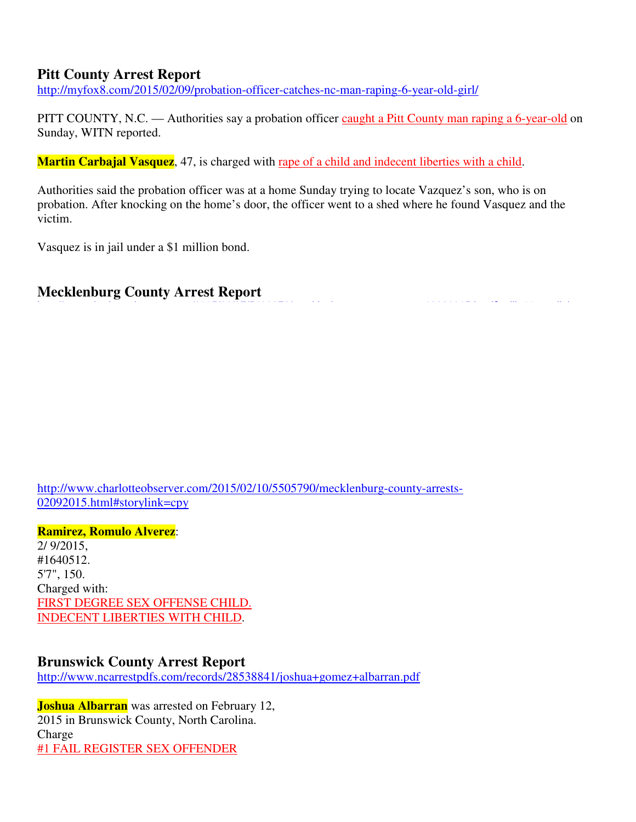## **Pitt County Arrest Report**

http://myfox8.com/2015/02/09/probation-officer-catches-nc-man-raping-6-year-old-girl/

PITT COUNTY, N.C. — Authorities say a probation officer caught a Pitt County man raping a 6-year-old on Sunday, WITN reported.

**Martin Carbajal Vasquez**, 47, is charged with rape of a child and indecent liberties with a child.

Authorities said the probation officer was at a home Sunday trying to locate Vazquez's son, who is on probation. After knocking on the home's door, the officer went to a shed where he found Vasquez and the victim.

Vasquez is in jail under a \$1 million bond.

# **Mecklenburg County Arrest Report**

http://www.charlotteobserver.com/2015/02/10/5505790/mecklenburg-county-arrests-02092015.html#storylink=cpy

**Ramirez, Romulo Alverez**: 2/ 9/2015, #1640512. 5'7", 150. Charged with: FIRST DEGREE SEX OFFENSE CHILD. INDECENT LIBERTIES WITH CHILD.

## **Brunswick County Arrest Report**

http://www.ncarrestpdfs.com/records/28538841/joshua+gomez+albarran.pdf

**Joshua Albarran** was arrested on February 12, 2015 in Brunswick County, North Carolina. Charge #1 FAIL REGISTER SEX OFFENDER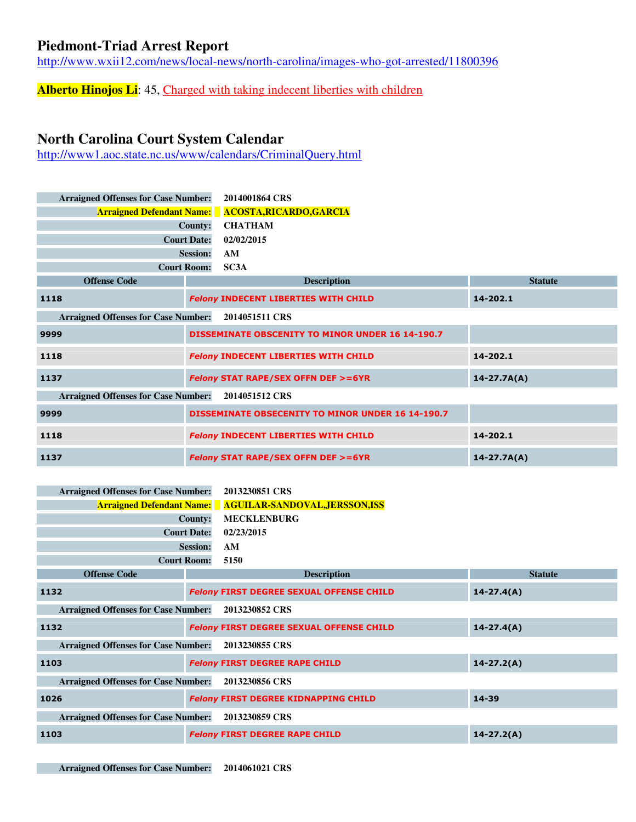## **Piedmont-Triad Arrest Report**

http://www.wxii12.com/news/local-news/north-carolina/images-who-got-arrested/11800396

**Alberto Hinojos Li**: 45, Charged with taking indecent liberties with children

# **North Carolina Court System Calendar**

http://www1.aoc.state.nc.us/www/calendars/CriminalQuery.html

| <b>Arraigned Offenses for Case Number:</b>                   | 2014001864 CRS<br><b>Arraigned Defendant Name:</b> ACOSTA, RICARDO, GARCIA<br><b>CHATHAM</b><br><b>County:</b><br><b>Court Date:</b><br>02/02/2015<br><b>Session:</b><br>AM<br><b>Court Room:</b><br>SC3A |                 |
|--------------------------------------------------------------|-----------------------------------------------------------------------------------------------------------------------------------------------------------------------------------------------------------|-----------------|
| <b>Offense Code</b>                                          | <b>Description</b>                                                                                                                                                                                        | <b>Statute</b>  |
| 1118                                                         | <b>Felony INDECENT LIBERTIES WITH CHILD</b>                                                                                                                                                               | 14-202.1        |
| <b>Arraigned Offenses for Case Number:</b>                   | 2014051511 CRS                                                                                                                                                                                            |                 |
| 9999                                                         | <b>DISSEMINATE OBSCENITY TO MINOR UNDER 16 14-190.7</b>                                                                                                                                                   |                 |
| 1118                                                         | <b>Felony INDECENT LIBERTIES WITH CHILD</b>                                                                                                                                                               | 14-202.1        |
| 1137                                                         | <b>Felony STAT RAPE/SEX OFFN DEF &gt;=6YR</b>                                                                                                                                                             | $14 - 27.7A(A)$ |
| <b>Arraigned Offenses for Case Number:</b><br>2014051512 CRS |                                                                                                                                                                                                           |                 |
| 9999                                                         | <b>DISSEMINATE OBSECENITY TO MINOR UNDER 16 14-190.7</b>                                                                                                                                                  |                 |
| 1118                                                         | <b>Felony INDECENT LIBERTIES WITH CHILD</b>                                                                                                                                                               | 14-202.1        |
| 1137                                                         | <b>Felony STAT RAPE/SEX OFFN DEF &gt;=6YR</b>                                                                                                                                                             | $14 - 27.7A(A)$ |

| Arraigned Offenses for Case Number: 2013230851 CRS |                                                                 |
|----------------------------------------------------|-----------------------------------------------------------------|
|                                                    | <b>Arraigned Defendant Name: AGUILAR-SANDOVAL, JERSSON, ISS</b> |
|                                                    | County: MECKLENBURG                                             |
| <b>Court Date: 02/23/2015</b>                      |                                                                 |
| Session: AM                                        |                                                                 |
| Court Room: 5150                                   |                                                                 |

| <b>Offense Code</b>                        | <b>Description</b>                              | <b>Statute</b> |
|--------------------------------------------|-------------------------------------------------|----------------|
| 1132                                       | <b>Felony FIRST DEGREE SEXUAL OFFENSE CHILD</b> | $14 - 27.4(A)$ |
| <b>Arraigned Offenses for Case Number:</b> | 2013230852 CRS                                  |                |
| 1132                                       | <b>Felony FIRST DEGREE SEXUAL OFFENSE CHILD</b> | $14 - 27.4(A)$ |
| <b>Arraigned Offenses for Case Number:</b> | 2013230855 CRS                                  |                |
| 1103                                       | <b>Felony FIRST DEGREE RAPE CHILD</b>           | $14 - 27.2(A)$ |
| <b>Arraigned Offenses for Case Number:</b> | 2013230856 CRS                                  |                |
| 1026                                       | <b>Felony FIRST DEGREE KIDNAPPING CHILD</b>     | 14-39          |
| <b>Arraigned Offenses for Case Number:</b> | 2013230859 CRS                                  |                |
| 1103                                       | <b>Felony FIRST DEGREE RAPE CHILD</b>           | $14 - 27.2(A)$ |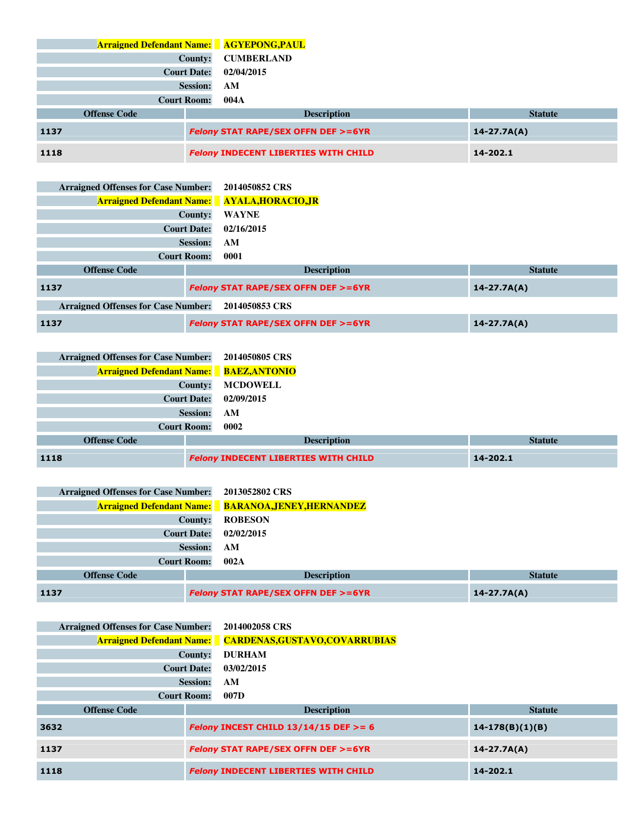|      | <b>Arraigned Defendant Name:</b> AGYEPONG, PAUL                  |                    |                                             |                |
|------|------------------------------------------------------------------|--------------------|---------------------------------------------|----------------|
|      |                                                                  | County:            | <b>CUMBERLAND</b>                           |                |
|      |                                                                  | <b>Court Date:</b> | 02/04/2015                                  |                |
|      |                                                                  | <b>Session:</b>    | AM                                          |                |
|      |                                                                  | <b>Court Room:</b> | 004A                                        |                |
|      | <b>Offense Code</b>                                              |                    | <b>Description</b>                          | <b>Statute</b> |
| 1137 | <b>Felony STAT RAPE/SEX OFFN DEF &gt;=6YR</b><br>$14 - 27.7A(A)$ |                    |                                             |                |
| 1118 |                                                                  |                    | <b>Felony INDECENT LIBERTIES WITH CHILD</b> | 14-202.1       |

| <b>Arraigned Offenses for Case Number:</b>                   |                                                                  | 2014050852 CRS                                      |                 |
|--------------------------------------------------------------|------------------------------------------------------------------|-----------------------------------------------------|-----------------|
|                                                              |                                                                  | <b>Arraigned Defendant Name:</b> AYALA, HORACIO, JR |                 |
|                                                              | County:                                                          | <b>WAYNE</b>                                        |                 |
|                                                              | <b>Court Date:</b>                                               | 02/16/2015                                          |                 |
| <b>Session:</b>                                              |                                                                  | AM                                                  |                 |
| <b>Court Room:</b>                                           |                                                                  | 0001                                                |                 |
| <b>Offense Code</b>                                          |                                                                  | <b>Description</b>                                  | <b>Statute</b>  |
| 1137                                                         | <b>Felony STAT RAPE/SEX OFFN DEF &gt;=6YR</b><br>$14 - 27.7A(A)$ |                                                     |                 |
| <b>Arraigned Offenses for Case Number:</b><br>2014050853 CRS |                                                                  |                                                     |                 |
| 1137                                                         |                                                                  | <b>Felony STAT RAPE/SEX OFFN DEF &gt;=6YR</b>       | $14 - 27.7A(A)$ |

| <b>Arraigned Offenses for Case Number:</b>     | 2014050805 CRS                              |                |
|------------------------------------------------|---------------------------------------------|----------------|
| <b>Arraigned Defendant Name:</b> BAEZ, ANTONIO |                                             |                |
| <b>County:</b>                                 | <b>MCDOWELL</b>                             |                |
| <b>Court Date:</b>                             | 02/09/2015                                  |                |
| <b>Session:</b>                                | AM                                          |                |
| <b>Court Room:</b>                             | 0002                                        |                |
| <b>Offense Code</b>                            | <b>Description</b>                          | <b>Statute</b> |
| 1118                                           | <b>Felony INDECENT LIBERTIES WITH CHILD</b> | 14-202.1       |

| <b>Arraigned Offenses for Case Number:</b> | 2013052802 CRS                                             |                 |  |
|--------------------------------------------|------------------------------------------------------------|-----------------|--|
|                                            | <b>Arraigned Defendant Name:</b> BARANOA, JENEY, HERNANDEZ |                 |  |
| County:                                    | <b>ROBESON</b>                                             |                 |  |
| <b>Court Date:</b>                         | 02/02/2015                                                 |                 |  |
| <b>Session:</b>                            | AM                                                         |                 |  |
| <b>Court Room:</b>                         | 002A                                                       |                 |  |
| <b>Offense Code</b>                        | <b>Description</b><br><b>Statute</b>                       |                 |  |
| 1137                                       | <b>Felony STAT RAPE/SEX OFFN DEF &gt;=6YR</b>              | $14 - 27.7A(A)$ |  |

| <b>Arraigned Offenses for Case Number:</b> |                    | 2014002058 CRS                                                  |                   |
|--------------------------------------------|--------------------|-----------------------------------------------------------------|-------------------|
|                                            |                    | <b>Arraigned Defendant Name:</b> CARDENAS, GUSTAVO, COVARRUBIAS |                   |
|                                            | County:            | <b>DURHAM</b>                                                   |                   |
|                                            | <b>Court Date:</b> | 03/02/2015                                                      |                   |
|                                            | <b>Session:</b>    | AM                                                              |                   |
|                                            | <b>Court Room:</b> | 007D                                                            |                   |
| <b>Offense Code</b>                        |                    | <b>Description</b>                                              | <b>Statute</b>    |
| 3632                                       |                    | Felony INCEST CHILD $13/14/15$ DEF $> = 6$                      | $14-178(B)(1)(B)$ |
| 1137                                       |                    | <b>Felony STAT RAPE/SEX OFFN DEF &gt;=6YR</b>                   | $14 - 27.7A(A)$   |
| 1118                                       |                    | <b>Felony INDECENT LIBERTIES WITH CHILD</b>                     | 14-202.1          |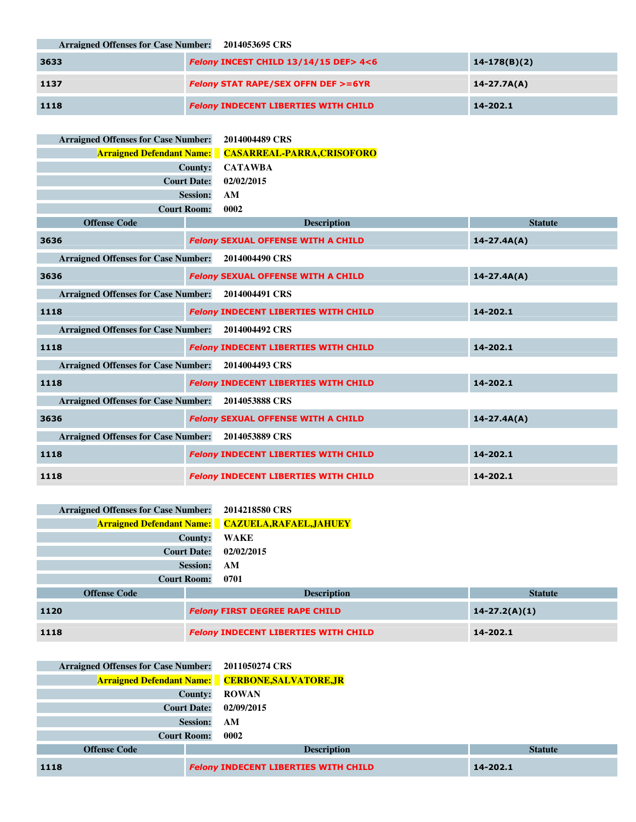**Arraigned Offenses for Case Number: 2014053695 CRS**

| 3633 | Felony INCEST CHILD 13/14/15 DEF> 4<6         | $14 - 178(B)(2)$ |
|------|-----------------------------------------------|------------------|
| 1137 | <b>Felony STAT RAPE/SEX OFFN DEF &gt;=6YR</b> | $14 - 27.7A(A)$  |
| 1118 | <b>Felony INDECENT LIBERTIES WITH CHILD</b>   | 14-202.1         |

| <b>Arraigned Offenses for Case Number:</b>         | 2014004489 CRS                                              |                 |
|----------------------------------------------------|-------------------------------------------------------------|-----------------|
|                                                    | <b>Arraigned Defendant Name: CASARREAL-PARRA, CRISOFORO</b> |                 |
|                                                    | <b>CATAWBA</b><br><b>County:</b>                            |                 |
|                                                    | <b>Court Date:</b><br>02/02/2015                            |                 |
|                                                    | <b>Session:</b><br>AM                                       |                 |
|                                                    | <b>Court Room:</b><br>0002                                  |                 |
| <b>Offense Code</b>                                | <b>Description</b>                                          | <b>Statute</b>  |
| 3636                                               | <b>Felony SEXUAL OFFENSE WITH A CHILD</b>                   | $14 - 27.4A(A)$ |
| Arraigned Offenses for Case Number: 2014004490 CRS |                                                             |                 |
| 3636                                               | <b>Felony SEXUAL OFFENSE WITH A CHILD</b>                   | $14 - 27.4A(A)$ |
| Arraigned Offenses for Case Number: 2014004491 CRS |                                                             |                 |
| 1118                                               | <b>Felony INDECENT LIBERTIES WITH CHILD</b>                 | 14-202.1        |
| Arraigned Offenses for Case Number: 2014004492 CRS |                                                             |                 |
| 1118                                               | <b>Felony INDECENT LIBERTIES WITH CHILD</b>                 | 14-202.1        |
| Arraigned Offenses for Case Number: 2014004493 CRS |                                                             |                 |
| 1118                                               | <b>Felony INDECENT LIBERTIES WITH CHILD</b>                 | 14-202.1        |
| <b>Arraigned Offenses for Case Number:</b>         | 2014053888 CRS                                              |                 |
| 3636                                               | <b>Felony SEXUAL OFFENSE WITH A CHILD</b>                   | $14 - 27.4A(A)$ |
| <b>Arraigned Offenses for Case Number:</b>         | 2014053889 CRS                                              |                 |
| 1118                                               | <b>Felony INDECENT LIBERTIES WITH CHILD</b>                 | 14-202.1        |
| 1118                                               | <b>Felony INDECENT LIBERTIES WITH CHILD</b>                 | 14-202.1        |

| <b>Arraigned Offenses for Case Number:</b>                  | 2014218580 CRS                                             |          |
|-------------------------------------------------------------|------------------------------------------------------------|----------|
|                                                             | <b>Arraigned Defendant Name:</b> CAZUELA, RAFAEL, JAHUEY   |          |
| <b>County:</b>                                              | <b>WAKE</b>                                                |          |
| <b>Court Date:</b>                                          | 02/02/2015                                                 |          |
| <b>Session:</b>                                             | AM                                                         |          |
| <b>Court Room:</b>                                          | 0701                                                       |          |
| <b>Description</b><br><b>Offense Code</b><br><b>Statute</b> |                                                            |          |
| 1120                                                        | <b>Felony FIRST DEGREE RAPE CHILD</b><br>$14 - 27.2(A)(1)$ |          |
| 1118                                                        | <b>Felony INDECENT LIBERTIES WITH CHILD</b>                | 14-202.1 |

| Arraigned Offenses for Case Number: 2011050274 CRS |                                                         |                |
|----------------------------------------------------|---------------------------------------------------------|----------------|
|                                                    | <b>Arraigned Defendant Name:</b> CERBONE, SALVATORE, JR |                |
|                                                    | <b>ROWAN</b><br>County:                                 |                |
|                                                    | <b>Court Date:</b><br>02/09/2015                        |                |
|                                                    | <b>Session:</b><br>AM                                   |                |
|                                                    | <b>Court Room:</b><br>0002                              |                |
| <b>Offense Code</b>                                | <b>Description</b>                                      | <b>Statute</b> |
| 1118                                               | <b>Felony INDECENT LIBERTIES WITH CHILD</b>             | 14-202.1       |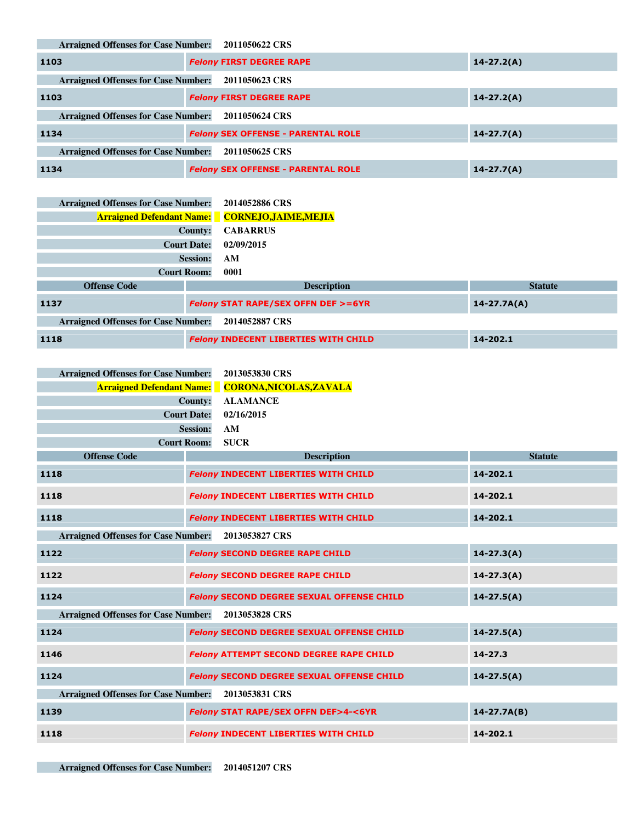**Arraigned Offenses for Case Number: 2011050622 CRS**

| 1103                                                         | <b>Felony FIRST DEGREE RAPE</b>           | $14 - 27.2(A)$ |  |  |
|--------------------------------------------------------------|-------------------------------------------|----------------|--|--|
| <b>Arraigned Offenses for Case Number:</b>                   | 2011050623 CRS                            |                |  |  |
| 1103                                                         | <b>Felony FIRST DEGREE RAPE</b>           | $14 - 27.2(A)$ |  |  |
| <b>Arraigned Offenses for Case Number:</b>                   | 2011050624 CRS                            |                |  |  |
| 1134                                                         | <b>Felony SEX OFFENSE - PARENTAL ROLE</b> | $14 - 27.7(A)$ |  |  |
| <b>Arraigned Offenses for Case Number:</b><br>2011050625 CRS |                                           |                |  |  |
| 1134                                                         | <b>Felony SEX OFFENSE - PARENTAL ROLE</b> | $14 - 27.7(A)$ |  |  |

| <b>Arraigned Offenses for Case Number:</b> |                    | 2014052886 CRS                                       |                 |
|--------------------------------------------|--------------------|------------------------------------------------------|-----------------|
|                                            |                    | <b>Arraigned Defendant Name:</b> CORNEJO,JAIME,MEJIA |                 |
|                                            | County:            | <b>CABARRUS</b>                                      |                 |
|                                            | <b>Court Date:</b> | 02/09/2015                                           |                 |
|                                            | <b>Session:</b>    | AM                                                   |                 |
|                                            | <b>Court Room:</b> | 0001                                                 |                 |
| <b>Offense Code</b>                        |                    | <b>Description</b>                                   | <b>Statute</b>  |
| 1137                                       |                    | <b>Felony STAT RAPE/SEX OFFN DEF &gt;=6YR</b>        | $14 - 27.7A(A)$ |
| <b>Arraigned Offenses for Case Number:</b> |                    | 2014052887 CRS                                       |                 |
| 1118                                       |                    | <b>Felony INDECENT LIBERTIES WITH CHILD</b>          | 14-202.1        |

| Arraigned Offenses for Case Number: 2013053830 CRS |                                                          |
|----------------------------------------------------|----------------------------------------------------------|
|                                                    | <b>Arraigned Defendant Name:</b> CORONA, NICOLAS, ZAVALA |
|                                                    | County: ALAMANCE                                         |
|                                                    | <b>Court Date: 02/16/2015</b>                            |
| Session: AM                                        |                                                          |
| <b>Court Room: SUCR</b>                            |                                                          |

| <b>Offense Code</b>                        | <b>Description</b>                                | <b>Statute</b>  |
|--------------------------------------------|---------------------------------------------------|-----------------|
| 1118                                       | <b>Felony INDECENT LIBERTIES WITH CHILD</b>       | 14-202.1        |
| 1118                                       | <b>Felony INDECENT LIBERTIES WITH CHILD</b>       | 14-202.1        |
| 1118                                       | <b>Felony INDECENT LIBERTIES WITH CHILD</b>       | 14-202.1        |
| <b>Arraigned Offenses for Case Number:</b> | 2013053827 CRS                                    |                 |
| 1122                                       | <b>Felony SECOND DEGREE RAPE CHILD</b>            | $14 - 27.3(A)$  |
| 1122                                       | <b>Felony SECOND DEGREE RAPE CHILD</b>            | $14 - 27.3(A)$  |
| 1124                                       | <b>Felony SECOND DEGREE SEXUAL OFFENSE CHILD</b>  | $14 - 27.5(A)$  |
| <b>Arraigned Offenses for Case Number:</b> | 2013053828 CRS                                    |                 |
| 1124                                       | <b>Felony SECOND DEGREE SEXUAL OFFENSE CHILD</b>  | $14 - 27.5(A)$  |
| 1146                                       | <b>Felony ATTEMPT SECOND DEGREE RAPE CHILD</b>    | $14 - 27.3$     |
| 1124                                       | <b>Felony SECOND DEGREE SEXUAL OFFENSE CHILD</b>  | $14 - 27.5(A)$  |
| <b>Arraigned Offenses for Case Number:</b> | 2013053831 CRS                                    |                 |
| 1139                                       | <b>Felony STAT RAPE/SEX OFFN DEF&gt;4-&lt;6YR</b> | $14 - 27.7A(B)$ |
| 1118                                       | <b>Felony INDECENT LIBERTIES WITH CHILD</b>       | 14-202.1        |

٠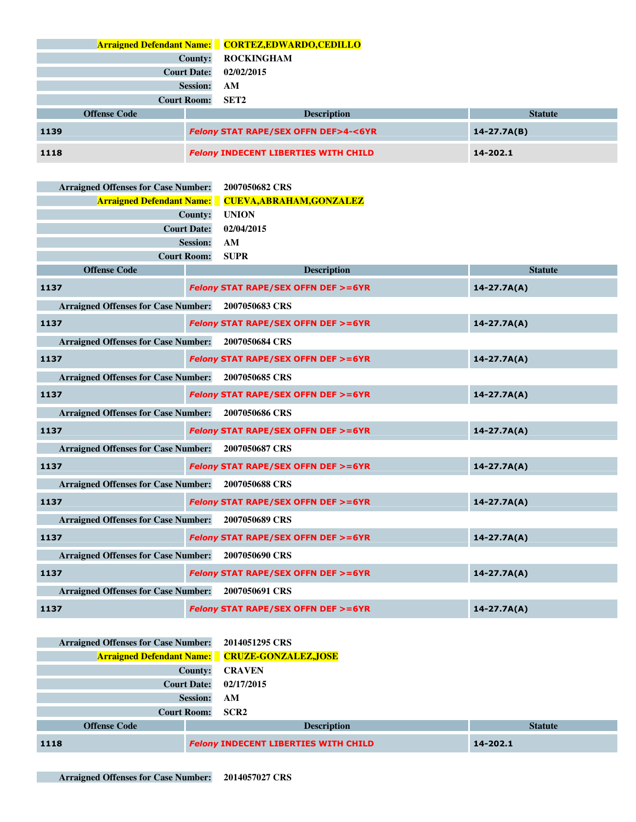|      |                     |                    | <b>Arraigned Defendant Name:</b> CORTEZ, EDWARDO, CEDILLO |                 |
|------|---------------------|--------------------|-----------------------------------------------------------|-----------------|
|      |                     | <b>County:</b>     | <b>ROCKINGHAM</b>                                         |                 |
|      |                     | <b>Court Date:</b> | 02/02/2015                                                |                 |
|      |                     | <b>Session:</b>    | AM                                                        |                 |
|      |                     | <b>Court Room:</b> | SET2                                                      |                 |
|      | <b>Offense Code</b> |                    | <b>Description</b>                                        | <b>Statute</b>  |
| 1139 |                     |                    | <b>Felony STAT RAPE/SEX OFFN DEF&gt;4-&lt;6YR</b>         | $14 - 27.7A(B)$ |
| 1118 |                     |                    | <b>Felony INDECENT LIBERTIES WITH CHILD</b>               | 14-202.1        |

| <b>Arraigned Offenses for Case Number:</b> |                    | 2007050682 CRS                                |                 |
|--------------------------------------------|--------------------|-----------------------------------------------|-----------------|
| <b>Arraigned Defendant Name:</b>           |                    | <b>CUEVA, ABRAHAM, GONZALEZ</b>               |                 |
|                                            | <b>County:</b>     | <b>UNION</b>                                  |                 |
|                                            | <b>Court Date:</b> | 02/04/2015                                    |                 |
|                                            | <b>Session:</b>    | AM                                            |                 |
|                                            | <b>Court Room:</b> | <b>SUPR</b>                                   |                 |
| <b>Offense Code</b>                        |                    | <b>Description</b>                            | <b>Statute</b>  |
| 1137                                       |                    | <b>Felony STAT RAPE/SEX OFFN DEF &gt;=6YR</b> | $14 - 27.7A(A)$ |
| <b>Arraigned Offenses for Case Number:</b> |                    | 2007050683 CRS                                |                 |
| 1137                                       |                    | Felony STAT RAPE/SEX OFFN DEF >=6YR           | $14 - 27.7A(A)$ |
| <b>Arraigned Offenses for Case Number:</b> |                    | 2007050684 CRS                                |                 |
| 1137                                       |                    | <b>Felony STAT RAPE/SEX OFFN DEF &gt;=6YR</b> | $14 - 27.7A(A)$ |
| <b>Arraigned Offenses for Case Number:</b> |                    | 2007050685 CRS                                |                 |
| 1137                                       |                    | <b>Felony STAT RAPE/SEX OFFN DEF &gt;=6YR</b> | $14 - 27.7A(A)$ |
| <b>Arraigned Offenses for Case Number:</b> |                    | 2007050686 CRS                                |                 |
| 1137                                       |                    | <b>Felony STAT RAPE/SEX OFFN DEF &gt;=6YR</b> | $14 - 27.7A(A)$ |
| <b>Arraigned Offenses for Case Number:</b> |                    | 2007050687 CRS                                |                 |
| 1137                                       |                    | <b>Felony STAT RAPE/SEX OFFN DEF &gt;=6YR</b> | $14 - 27.7A(A)$ |
| <b>Arraigned Offenses for Case Number:</b> |                    | 2007050688 CRS                                |                 |
| 1137                                       |                    | <b>Felony STAT RAPE/SEX OFFN DEF &gt;=6YR</b> | $14 - 27.7A(A)$ |
| <b>Arraigned Offenses for Case Number:</b> |                    | 2007050689 CRS                                |                 |
| 1137                                       |                    | <b>Felony STAT RAPE/SEX OFFN DEF &gt;=6YR</b> | $14 - 27.7A(A)$ |
| <b>Arraigned Offenses for Case Number:</b> |                    | 2007050690 CRS                                |                 |
| 1137                                       |                    | <b>Felony STAT RAPE/SEX OFFN DEF &gt;=6YR</b> | $14 - 27.7A(A)$ |
| <b>Arraigned Offenses for Case Number:</b> |                    | 2007050691 CRS                                |                 |
| 1137                                       |                    | <b>Felony STAT RAPE/SEX OFFN DEF &gt;=6YR</b> | $14 - 27.7A(A)$ |

| <b>Arraigned Offenses for Case Number:</b> | 2014051295 CRS                                        |                |
|--------------------------------------------|-------------------------------------------------------|----------------|
|                                            | <b>Arraigned Defendant Name:</b> CRUZE-GONZALEZ, JOSE |                |
| County:                                    | <b>CRAVEN</b>                                         |                |
| <b>Court Date:</b>                         | 02/17/2015                                            |                |
| <b>Session:</b>                            | AM                                                    |                |
| <b>Court Room:</b>                         | SCR <sub>2</sub>                                      |                |
| <b>Offense Code</b>                        | <b>Description</b>                                    | <b>Statute</b> |
| 1118                                       | <b>Felony INDECENT LIBERTIES WITH CHILD</b>           | 14-202.1       |

T.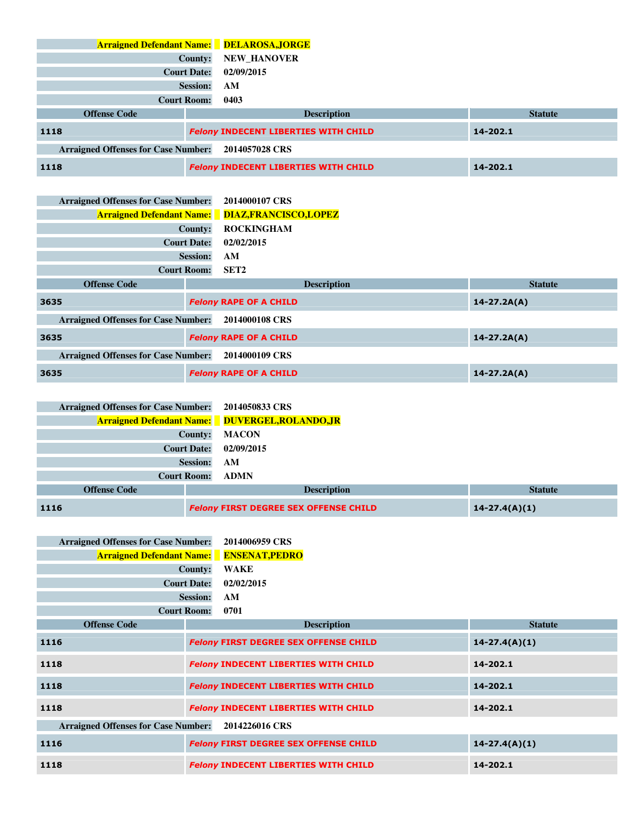**Arraigned Defendant Name: DELAROSA,JORGE County: NEW\_HANOVER Court Date: 02/09/2015 Session: AM Court Room: 0403 Offense Code Description Description Statute 1118** *Felony* **INDECENT LIBERTIES WITH CHILD 14-202.1 Arraigned Offenses for Case Number: 2014057028 CRS 1118** *Felony* **INDECENT LIBERTIES WITH CHILD 14-202.1** 

| <b>Arraigned Offenses for Case Number:</b> |                    | 2014000107 CRS                                          |                 |
|--------------------------------------------|--------------------|---------------------------------------------------------|-----------------|
|                                            |                    | <b>Arraigned Defendant Name:</b> DIAZ, FRANCISCO, LOPEZ |                 |
|                                            | County:            | <b>ROCKINGHAM</b>                                       |                 |
|                                            | <b>Court Date:</b> | 02/02/2015                                              |                 |
|                                            | <b>Session:</b>    | AM                                                      |                 |
|                                            | <b>Court Room:</b> | SET <sub>2</sub>                                        |                 |
| <b>Offense Code</b>                        |                    | <b>Description</b>                                      | <b>Statute</b>  |
| 3635                                       |                    | <b>Felony RAPE OF A CHILD</b>                           | $14 - 27.2A(A)$ |
| <b>Arraigned Offenses for Case Number:</b> |                    | 2014000108 CRS                                          |                 |
| 3635                                       |                    | <b>Felony RAPE OF A CHILD</b>                           | $14 - 27.2A(A)$ |
| <b>Arraigned Offenses for Case Number:</b> |                    | 2014000109 CRS                                          |                 |
| 3635                                       |                    | <b>Felony RAPE OF A CHILD</b>                           | $14 - 27.2A(A)$ |

| <b>Arraigned Offenses for Case Number:</b> | 2014050833 CRS                                         |                   |
|--------------------------------------------|--------------------------------------------------------|-------------------|
|                                            | <b>Arraigned Defendant Name:</b> DUVERGEL, ROLANDO, JR |                   |
| <b>County:</b>                             | <b>MACON</b>                                           |                   |
| <b>Court Date:</b>                         | 02/09/2015                                             |                   |
| <b>Session:</b>                            | AM                                                     |                   |
| <b>Court Room:</b>                         | <b>ADMN</b>                                            |                   |
| <b>Offense Code</b>                        | <b>Description</b>                                     | <b>Statute</b>    |
| 1116                                       | <b>Felony FIRST DEGREE SEX OFFENSE CHILD</b>           | $14 - 27.4(A)(1)$ |

| <b>Arraigned Offenses for Case Number:</b> |                    | 2014006959 CRS                               |                   |
|--------------------------------------------|--------------------|----------------------------------------------|-------------------|
| <b>Arraigned Defendant Name:</b>           |                    | <b>ENSENAT, PEDRO</b>                        |                   |
|                                            | County:            | <b>WAKE</b>                                  |                   |
|                                            | <b>Court Date:</b> | 02/02/2015                                   |                   |
|                                            | <b>Session:</b>    | AM                                           |                   |
|                                            | <b>Court Room:</b> | 0701                                         |                   |
| <b>Offense Code</b>                        |                    | <b>Description</b>                           | <b>Statute</b>    |
| 1116                                       |                    | <b>Felony FIRST DEGREE SEX OFFENSE CHILD</b> | $14 - 27.4(A)(1)$ |
| 1118                                       |                    | <b>Felony INDECENT LIBERTIES WITH CHILD</b>  | 14-202.1          |
| 1118                                       |                    | <b>Felony INDECENT LIBERTIES WITH CHILD</b>  | 14-202.1          |
| 1118                                       |                    | <b>Felony INDECENT LIBERTIES WITH CHILD</b>  | 14-202.1          |
| <b>Arraigned Offenses for Case Number:</b> |                    | 2014226016 CRS                               |                   |
| 1116                                       |                    | <b>Felony FIRST DEGREE SEX OFFENSE CHILD</b> | $14 - 27.4(A)(1)$ |
| 1118                                       |                    | <b>Felony INDECENT LIBERTIES WITH CHILD</b>  | 14-202.1          |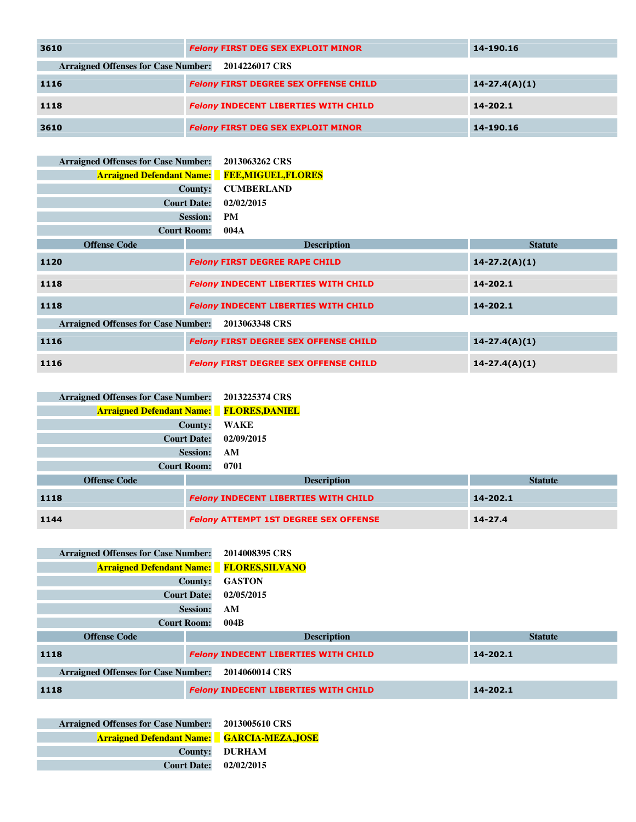| 3610                                       | <b>Felony FIRST DEG SEX EXPLOIT MINOR</b>    | 14-190.16         |
|--------------------------------------------|----------------------------------------------|-------------------|
| <b>Arraigned Offenses for Case Number:</b> | 2014226017 CRS                               |                   |
| <b>1116</b>                                | <b>Felony FIRST DEGREE SEX OFFENSE CHILD</b> | $14 - 27.4(A)(1)$ |
| 1118                                       | <b>Felony INDECENT LIBERTIES WITH CHILD</b>  | 14-202.1          |
| 3610                                       | <b>Felony FIRST DEG SEX EXPLOIT MINOR</b>    | 14-190.16         |

| <b>Arraigned Offenses for Case Number:</b>                   |                    | 2013063262 CRS                               |                   |
|--------------------------------------------------------------|--------------------|----------------------------------------------|-------------------|
| <b>Arraigned Defendant Name:</b>                             |                    | <b>FEE,MIGUEL,FLORES</b>                     |                   |
|                                                              | County:            | <b>CUMBERLAND</b>                            |                   |
|                                                              | <b>Court Date:</b> | 02/02/2015                                   |                   |
|                                                              | <b>Session:</b>    | <b>PM</b>                                    |                   |
|                                                              | <b>Court Room:</b> | 004A                                         |                   |
| <b>Offense Code</b>                                          |                    | <b>Description</b>                           | <b>Statute</b>    |
| 1120                                                         |                    | <b>Felony FIRST DEGREE RAPE CHILD</b>        | $14 - 27.2(A)(1)$ |
| 1118                                                         |                    | <b>Felony INDECENT LIBERTIES WITH CHILD</b>  | 14-202.1          |
| 1118                                                         |                    | <b>Felony INDECENT LIBERTIES WITH CHILD</b>  | 14-202.1          |
| <b>Arraigned Offenses for Case Number:</b><br>2013063348 CRS |                    |                                              |                   |
| 1116                                                         |                    | <b>Felony FIRST DEGREE SEX OFFENSE CHILD</b> | $14 - 27.4(A)(1)$ |
| 1116                                                         |                    | <b>Felony FIRST DEGREE SEX OFFENSE CHILD</b> | $14 - 27.4(A)(1)$ |

| 2013225374 CRS        |                    | <b>Arraigned Offenses for Case Number:</b> |
|-----------------------|--------------------|--------------------------------------------|
| <b>FLORES, DANIEL</b> |                    | <b>Arraigned Defendant Name:</b>           |
| WAKE                  | County:            |                                            |
| 02/09/2015            | <b>Court Date:</b> |                                            |
| AM                    | <b>Session:</b>    |                                            |
| 0701                  | <b>Court Room:</b> |                                            |
|                       |                    | <b>Offense Code</b>                        |
|                       |                    |                                            |

| <b>Offense Code</b> | <b>Description</b>                           | <b>Statute</b> |
|---------------------|----------------------------------------------|----------------|
| 1118                | <b>Felony INDECENT LIBERTIES WITH CHILD</b>  | 14-202.1       |
| 1144                | <b>Felony ATTEMPT 1ST DEGREE SEX OFFENSE</b> | $14 - 27.4$    |

| <b>Arraigned Offenses for Case Number:</b> |                    | 2014008395 CRS                                   |                |
|--------------------------------------------|--------------------|--------------------------------------------------|----------------|
|                                            |                    | <b>Arraigned Defendant Name:</b> FLORES, SILVANO |                |
|                                            | County:            | <b>GASTON</b>                                    |                |
|                                            | <b>Court Date:</b> | 02/05/2015                                       |                |
|                                            | <b>Session:</b>    | AM                                               |                |
|                                            | <b>Court Room:</b> | 004B                                             |                |
| <b>Offense Code</b>                        |                    | <b>Description</b>                               | <b>Statute</b> |
| 1118                                       |                    | <b>Felony INDECENT LIBERTIES WITH CHILD</b>      | 14-202.1       |
| <b>Arraigned Offenses for Case Number:</b> |                    | 2014060014 CRS                                   |                |
| 1118                                       |                    | <b>Felony INDECENT LIBERTIES WITH CHILD</b>      | 14-202.1       |

**Arraigned Offenses for Case Number: 2013005610 CRS Arraigned Defendant Name: GARCIA-MEZA,JOSE County: DURHAM Court Date: 02/02/2015**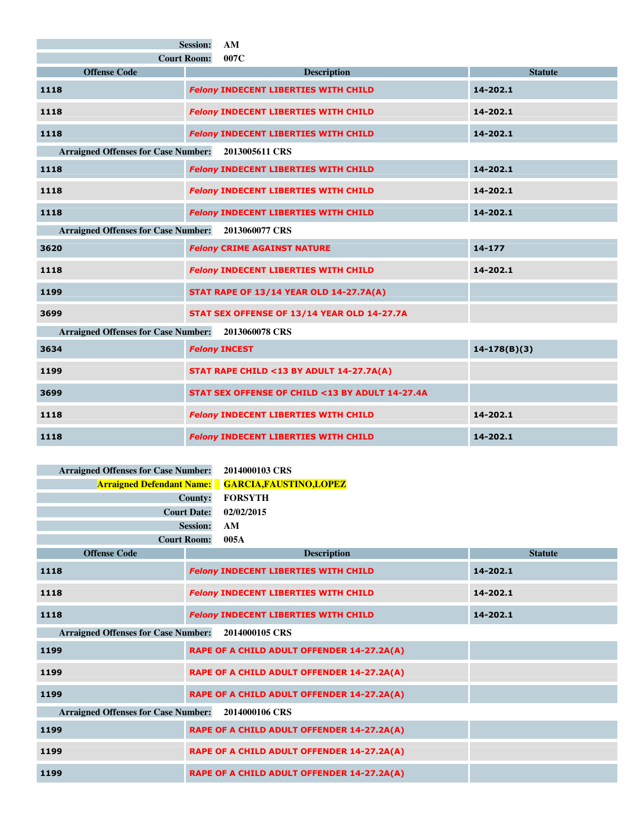|                                                    | <b>Session:</b><br>AM                           |                |  |  |
|----------------------------------------------------|-------------------------------------------------|----------------|--|--|
| <b>Court Room:</b><br>007C                         |                                                 |                |  |  |
| <b>Offense Code</b>                                | <b>Description</b>                              | <b>Statute</b> |  |  |
| 1118                                               | <b>Felony INDECENT LIBERTIES WITH CHILD</b>     | 14-202.1       |  |  |
| 1118                                               | <b>Felony INDECENT LIBERTIES WITH CHILD</b>     | 14-202.1       |  |  |
| 1118                                               | <b>Felony INDECENT LIBERTIES WITH CHILD</b>     | 14-202.1       |  |  |
| Arraigned Offenses for Case Number: 2013005611 CRS |                                                 |                |  |  |
| 1118                                               | <b>Felony INDECENT LIBERTIES WITH CHILD</b>     | 14-202.1       |  |  |
| 1118                                               | <b>Felony INDECENT LIBERTIES WITH CHILD</b>     | 14-202.1       |  |  |
| 1118                                               | <b>Felony INDECENT LIBERTIES WITH CHILD</b>     | 14-202.1       |  |  |
| <b>Arraigned Offenses for Case Number:</b>         | 2013060077 CRS                                  |                |  |  |
| 3620                                               | <b>Felony CRIME AGAINST NATURE</b>              | 14-177         |  |  |
| 1118                                               | <b>Felony INDECENT LIBERTIES WITH CHILD</b>     | 14-202.1       |  |  |
| 1199                                               | <b>STAT RAPE OF 13/14 YEAR OLD 14-27.7A(A)</b>  |                |  |  |
| 3699                                               | STAT SEX OFFENSE OF 13/14 YEAR OLD 14-27.7A     |                |  |  |
| <b>Arraigned Offenses for Case Number:</b>         | 2013060078 CRS                                  |                |  |  |
| 3634                                               | <b>Felony INCEST</b>                            | $14-178(B)(3)$ |  |  |
| 1199                                               | STAT RAPE CHILD <13 BY ADULT 14-27.7A(A)        |                |  |  |
| 3699                                               | STAT SEX OFFENSE OF CHILD <13 BY ADULT 14-27.4A |                |  |  |
| 1118                                               | <b>Felony INDECENT LIBERTIES WITH CHILD</b>     | 14-202.1       |  |  |
| 1118                                               | <b>Felony INDECENT LIBERTIES WITH CHILD</b>     | 14-202.1       |  |  |

| <b>Arraigned Offenses for Case Number:</b> | 2014000103 CRS                              |                |
|--------------------------------------------|---------------------------------------------|----------------|
| <b>Arraigned Defendant Name:</b>           | <b>GARCIA, FAUSTINO, LOPEZ</b>              |                |
|                                            | <b>FORSYTH</b><br><b>County:</b>            |                |
|                                            | <b>Court Date:</b><br>02/02/2015            |                |
|                                            | <b>Session:</b><br>AM                       |                |
|                                            | <b>Court Room:</b><br>005A                  |                |
| <b>Offense Code</b>                        | <b>Description</b>                          | <b>Statute</b> |
| 1118                                       | <b>Felony INDECENT LIBERTIES WITH CHILD</b> | 14-202.1       |
| 1118                                       | <b>Felony INDECENT LIBERTIES WITH CHILD</b> | 14-202.1       |
| 1118                                       | <b>Felony INDECENT LIBERTIES WITH CHILD</b> | 14-202.1       |
| <b>Arraigned Offenses for Case Number:</b> | 2014000105 CRS                              |                |
| 1199                                       | RAPE OF A CHILD ADULT OFFENDER 14-27.2A(A)  |                |
| 1199                                       | RAPE OF A CHILD ADULT OFFENDER 14-27.2A(A)  |                |
| 1199                                       | RAPE OF A CHILD ADULT OFFENDER 14-27.2A(A)  |                |
| <b>Arraigned Offenses for Case Number:</b> | 2014000106 CRS                              |                |
| 1199                                       | RAPE OF A CHILD ADULT OFFENDER 14-27.2A(A)  |                |
| 1199                                       | RAPE OF A CHILD ADULT OFFENDER 14-27.2A(A)  |                |
| 1199                                       | RAPE OF A CHILD ADULT OFFENDER 14-27.2A(A)  |                |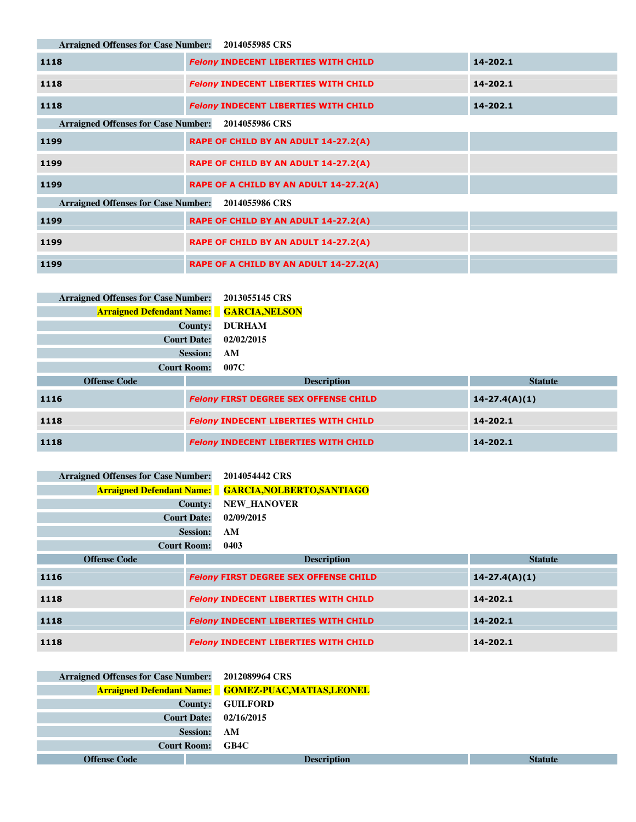**Arraigned Offenses for Case Number: 2014055985 CRS**

| 1118                                       | <b>Felony INDECENT LIBERTIES WITH CHILD</b> | 14-202.1 |
|--------------------------------------------|---------------------------------------------|----------|
| 1118                                       | <b>Felony INDECENT LIBERTIES WITH CHILD</b> | 14-202.1 |
| 1118                                       | <b>Felony INDECENT LIBERTIES WITH CHILD</b> | 14-202.1 |
| <b>Arraigned Offenses for Case Number:</b> | 2014055986 CRS                              |          |
| 1199                                       | RAPE OF CHILD BY AN ADULT 14-27.2(A)        |          |
| 1199                                       | RAPE OF CHILD BY AN ADULT 14-27.2(A)        |          |
| 1199                                       | RAPE OF A CHILD BY AN ADULT 14-27.2(A)      |          |
| <b>Arraigned Offenses for Case Number:</b> | 2014055986 CRS                              |          |
| 1199                                       | RAPE OF CHILD BY AN ADULT 14-27.2(A)        |          |
| 1199                                       | RAPE OF CHILD BY AN ADULT 14-27.2(A)        |          |
| 1199                                       | RAPE OF A CHILD BY AN ADULT 14-27.2(A)      |          |

| <b>Arraigned Offenses for Case Number:</b>      |                    | 2013055145 CRS                                                    |                |
|-------------------------------------------------|--------------------|-------------------------------------------------------------------|----------------|
| <b>Arraigned Defendant Name: GARCIA, NELSON</b> |                    |                                                                   |                |
|                                                 | <b>County:</b>     | <b>DURHAM</b>                                                     |                |
|                                                 | <b>Court Date:</b> | 02/02/2015                                                        |                |
|                                                 | <b>Session:</b>    | AM                                                                |                |
|                                                 | <b>Court Room:</b> | 007C                                                              |                |
| <b>Offense Code</b>                             |                    | <b>Description</b>                                                | <b>Statute</b> |
| 1116                                            |                    | <b>Felony FIRST DEGREE SEX OFFENSE CHILD</b><br>$14 - 27.4(A)(1)$ |                |
| 1118                                            |                    | <b>Felony INDECENT LIBERTIES WITH CHILD</b>                       | 14-202.1       |
| 1118                                            |                    | <b>Felony INDECENT LIBERTIES WITH CHILD</b>                       | 14-202.1       |

| <b>Arraigned Offenses for Case Number:</b> |                    | 2014054442 CRS                                              |                   |
|--------------------------------------------|--------------------|-------------------------------------------------------------|-------------------|
|                                            |                    | <b>Arraigned Defendant Name:</b> GARCIA, NOLBERTO, SANTIAGO |                   |
|                                            | County:            | <b>NEW HANOVER</b>                                          |                   |
|                                            | <b>Court Date:</b> | 02/09/2015                                                  |                   |
|                                            | <b>Session:</b>    | AM                                                          |                   |
|                                            | <b>Court Room:</b> | 0403                                                        |                   |
| <b>Offense Code</b>                        |                    | <b>Description</b>                                          | <b>Statute</b>    |
| 1116                                       |                    | <b>Felony FIRST DEGREE SEX OFFENSE CHILD</b>                | $14 - 27.4(A)(1)$ |
| 1118                                       |                    | <b>Felony INDECENT LIBERTIES WITH CHILD</b>                 | 14-202.1          |
| 1118                                       |                    | <b>Felony INDECENT LIBERTIES WITH CHILD</b>                 | 14-202.1          |
| 1118                                       |                    | <b>Felony INDECENT LIBERTIES WITH CHILD</b>                 | 14-202.1          |

| Arraigned Offenses for Case Number: 2012089964 CRS |                    |                                                             |                |
|----------------------------------------------------|--------------------|-------------------------------------------------------------|----------------|
|                                                    |                    | <b>Arraigned Defendant Name:</b> GOMEZ-PUAC, MATIAS, LEONEL |                |
|                                                    | County:            | <b>GUILFORD</b>                                             |                |
|                                                    | <b>Court Date:</b> | 02/16/2015                                                  |                |
|                                                    | <b>Session:</b>    | AM                                                          |                |
|                                                    | <b>Court Room:</b> | GB4C                                                        |                |
| <b>Offense Code</b>                                |                    | <b>Description</b>                                          | <b>Statute</b> |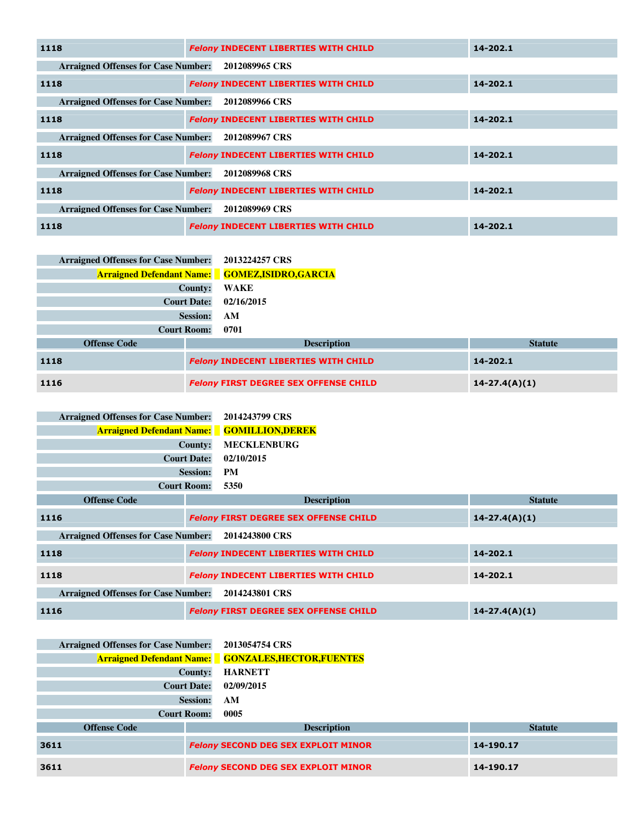| 1118                                       | <b>Felony INDECENT LIBERTIES WITH CHILD</b> | $14 - 202.1$ |
|--------------------------------------------|---------------------------------------------|--------------|
| <b>Arraigned Offenses for Case Number:</b> | 2012089965 CRS                              |              |
| 1118                                       | <b>Felony INDECENT LIBERTIES WITH CHILD</b> | 14-202.1     |
| <b>Arraigned Offenses for Case Number:</b> | 2012089966 CRS                              |              |
| 1118                                       | <b>Felony INDECENT LIBERTIES WITH CHILD</b> | 14-202.1     |
| <b>Arraigned Offenses for Case Number:</b> | 2012089967 CRS                              |              |
| 1118                                       | <b>Felony INDECENT LIBERTIES WITH CHILD</b> | 14-202.1     |
| <b>Arraigned Offenses for Case Number:</b> | 2012089968 CRS                              |              |
| 1118                                       | <b>Felony INDECENT LIBERTIES WITH CHILD</b> | 14-202.1     |
| <b>Arraigned Offenses for Case Number:</b> | 2012089969 CRS                              |              |
| 1118                                       | <b>Felony INDECENT LIBERTIES WITH CHILD</b> | 14-202.1     |

| <b>Arraigned Offenses for Case Number:</b> | 2013224257 CRS                                         |                   |
|--------------------------------------------|--------------------------------------------------------|-------------------|
|                                            | <b>Arraigned Defendant Name:</b> GOMEZ, ISIDRO, GARCIA |                   |
|                                            | County:<br>WAKE                                        |                   |
| <b>Court Date:</b>                         | 02/16/2015                                             |                   |
|                                            | <b>Session:</b><br>AM                                  |                   |
| <b>Court Room:</b>                         | 0701                                                   |                   |
| <b>Offense Code</b>                        | <b>Description</b>                                     | <b>Statute</b>    |
| 1118                                       | <b>Felony INDECENT LIBERTIES WITH CHILD</b>            | 14-202.1          |
| 1116                                       | <b>Felony FIRST DEGREE SEX OFFENSE CHILD</b>           | $14 - 27.4(A)(1)$ |

| <b>Arraigned Offenses for Case Number:</b> |                    | 2014243799 CRS                                    |                   |
|--------------------------------------------|--------------------|---------------------------------------------------|-------------------|
|                                            |                    | <b>Arraigned Defendant Name: GOMILLION, DEREK</b> |                   |
|                                            | County:            | <b>MECKLENBURG</b>                                |                   |
|                                            | <b>Court Date:</b> | 02/10/2015                                        |                   |
|                                            | <b>Session:</b>    | <b>PM</b>                                         |                   |
|                                            | <b>Court Room:</b> | 5350                                              |                   |
| <b>Offense Code</b>                        |                    | <b>Description</b>                                | <b>Statute</b>    |
| 1116                                       |                    | <b>Felony FIRST DEGREE SEX OFFENSE CHILD</b>      | $14 - 27.4(A)(1)$ |
| <b>Arraigned Offenses for Case Number:</b> |                    | 2014243800 CRS                                    |                   |
| 1118                                       |                    | <b>Felony INDECENT LIBERTIES WITH CHILD</b>       | 14-202.1          |
| 1118                                       |                    | <b>Felony INDECENT LIBERTIES WITH CHILD</b>       | 14-202.1          |
| <b>Arraigned Offenses for Case Number:</b> |                    | 2014243801 CRS                                    |                   |
| 1116                                       |                    | <b>Felony FIRST DEGREE SEX OFFENSE CHILD</b>      | $14 - 27.4(A)(1)$ |

| <b>Arraigned Offenses for Case Number:</b> |                    | 2013054754 CRS                                             |                |
|--------------------------------------------|--------------------|------------------------------------------------------------|----------------|
|                                            |                    | <b>Arraigned Defendant Name: GONZALES, HECTOR, FUENTES</b> |                |
|                                            | County:            | <b>HARNETT</b>                                             |                |
|                                            | <b>Court Date:</b> | 02/09/2015                                                 |                |
|                                            | <b>Session:</b>    | AM                                                         |                |
| <b>Court Room:</b>                         |                    | 0005                                                       |                |
| <b>Offense Code</b>                        |                    | <b>Description</b>                                         | <b>Statute</b> |
| 3611                                       |                    | <b>Felony SECOND DEG SEX EXPLOIT MINOR</b>                 | 14-190.17      |
| 3611                                       |                    | <b>Felony SECOND DEG SEX EXPLOIT MINOR</b>                 | 14-190.17      |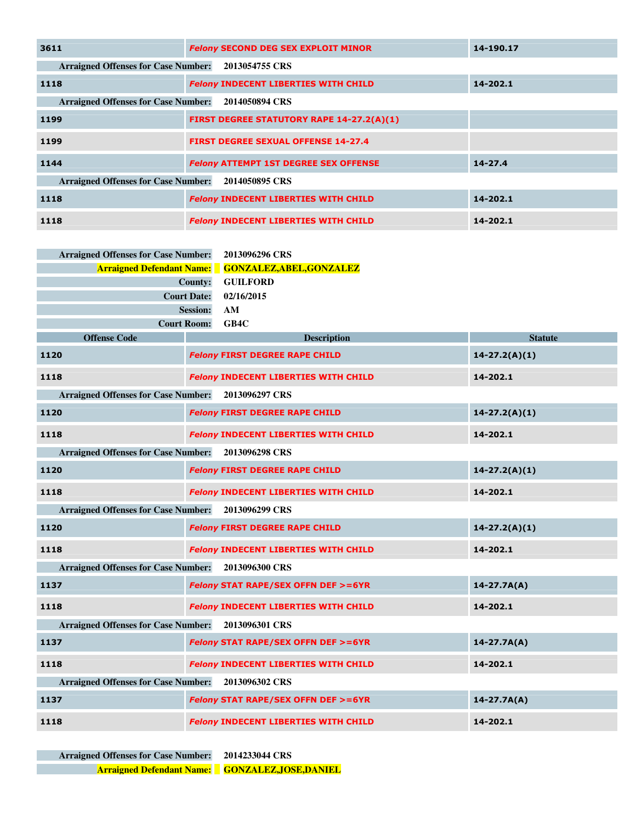| 3611                                       | <b>Felony SECOND DEG SEX EXPLOIT MINOR</b>       | 14-190.17   |
|--------------------------------------------|--------------------------------------------------|-------------|
| <b>Arraigned Offenses for Case Number:</b> | 2013054755 CRS                                   |             |
| 1118                                       | <b>Felony INDECENT LIBERTIES WITH CHILD</b>      | 14-202.1    |
| <b>Arraigned Offenses for Case Number:</b> | 2014050894 CRS                                   |             |
| 1199                                       | <b>FIRST DEGREE STATUTORY RAPE 14-27.2(A)(1)</b> |             |
| 1199                                       | <b>FIRST DEGREE SEXUAL OFFENSE 14-27.4</b>       |             |
| 1144                                       | <b>Felony ATTEMPT 1ST DEGREE SEX OFFENSE</b>     | $14 - 27.4$ |
| <b>Arraigned Offenses for Case Number:</b> | 2014050895 CRS                                   |             |
| 1118                                       | <b>Felony INDECENT LIBERTIES WITH CHILD</b>      | 14-202.1    |
| 1118                                       | <b>Felony INDECENT LIBERTIES WITH CHILD</b>      | 14-202.1    |

| <b>Arraigned Offenses for Case Number:</b> |                 | 2013096296 CRS                                |                   |
|--------------------------------------------|-----------------|-----------------------------------------------|-------------------|
| <b>Arraigned Defendant Name:</b>           |                 | <b>GONZALEZ, ABEL, GONZALEZ</b>               |                   |
|                                            | <b>County:</b>  | <b>GUILFORD</b>                               |                   |
| <b>Court Date:</b>                         |                 | 02/16/2015                                    |                   |
|                                            | <b>Session:</b> | AM                                            |                   |
| <b>Court Room:</b>                         |                 | GB4C                                          |                   |
| <b>Offense Code</b>                        |                 | <b>Description</b>                            | <b>Statute</b>    |
| 1120                                       |                 | <b>Felony FIRST DEGREE RAPE CHILD</b>         | $14 - 27.2(A)(1)$ |
| 1118                                       |                 | <b>Felony INDECENT LIBERTIES WITH CHILD</b>   | 14-202.1          |
| <b>Arraigned Offenses for Case Number:</b> |                 | 2013096297 CRS                                |                   |
| 1120                                       |                 | <b>Felony FIRST DEGREE RAPE CHILD</b>         | $14 - 27.2(A)(1)$ |
| 1118                                       |                 | <b>Felony INDECENT LIBERTIES WITH CHILD</b>   | 14-202.1          |
| <b>Arraigned Offenses for Case Number:</b> |                 | 2013096298 CRS                                |                   |
| 1120                                       |                 | <b>Felony FIRST DEGREE RAPE CHILD</b>         | $14-27.2(A)(1)$   |
| 1118                                       |                 | <b>Felony INDECENT LIBERTIES WITH CHILD</b>   | 14-202.1          |
| <b>Arraigned Offenses for Case Number:</b> |                 | 2013096299 CRS                                |                   |
| 1120                                       |                 | <b>Felony FIRST DEGREE RAPE CHILD</b>         | $14 - 27.2(A)(1)$ |
| 1118                                       |                 | <b>Felony INDECENT LIBERTIES WITH CHILD</b>   | 14-202.1          |
| <b>Arraigned Offenses for Case Number:</b> |                 | 2013096300 CRS                                |                   |
| 1137                                       |                 | <b>Felony STAT RAPE/SEX OFFN DEF &gt;=6YR</b> | $14 - 27.7A(A)$   |
| 1118                                       |                 | <b>Felony INDECENT LIBERTIES WITH CHILD</b>   | 14-202.1          |
| <b>Arraigned Offenses for Case Number:</b> |                 | 2013096301 CRS                                |                   |
| 1137                                       |                 | <b>Felony STAT RAPE/SEX OFFN DEF &gt;=6YR</b> | $14 - 27.7A(A)$   |
| 1118                                       |                 | <b>Felony INDECENT LIBERTIES WITH CHILD</b>   | 14-202.1          |
| <b>Arraigned Offenses for Case Number:</b> |                 | 2013096302 CRS                                |                   |
| 1137                                       |                 | <b>Felony STAT RAPE/SEX OFFN DEF &gt;=6YR</b> | $14 - 27.7A(A)$   |
| 1118                                       |                 | <b>Felony INDECENT LIBERTIES WITH CHILD</b>   | 14-202.1          |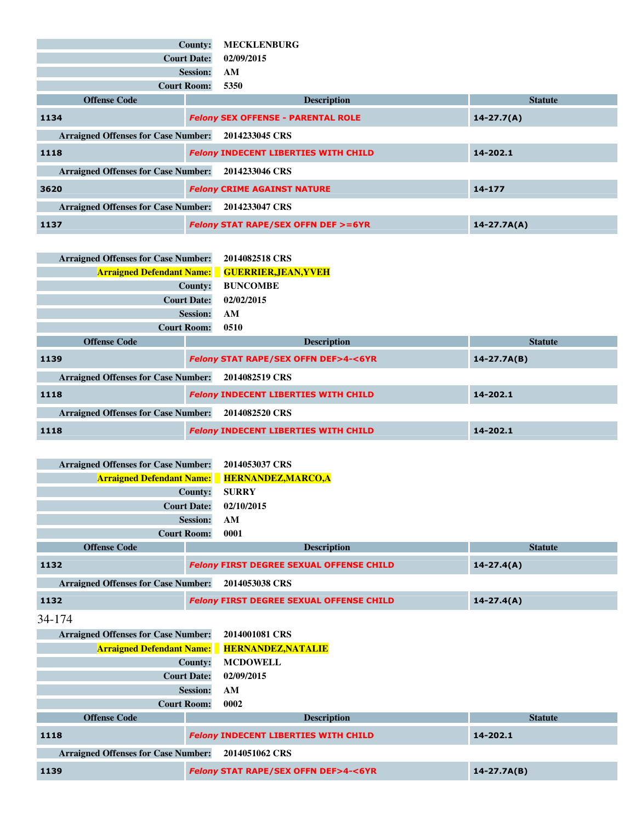|                                            | County:<br><b>Court Date:</b><br><b>Session:</b><br>AM<br><b>Court Room:</b><br>5350 | <b>MECKLENBURG</b><br>02/09/2015              |                 |
|--------------------------------------------|--------------------------------------------------------------------------------------|-----------------------------------------------|-----------------|
| <b>Offense Code</b>                        |                                                                                      | <b>Description</b>                            | <b>Statute</b>  |
| 1134                                       |                                                                                      | <b>Felony SEX OFFENSE - PARENTAL ROLE</b>     | $14 - 27.7(A)$  |
| <b>Arraigned Offenses for Case Number:</b> |                                                                                      | 2014233045 CRS                                |                 |
| 1118                                       |                                                                                      | <b>Felony INDECENT LIBERTIES WITH CHILD</b>   | 14-202.1        |
| <b>Arraigned Offenses for Case Number:</b> |                                                                                      | 2014233046 CRS                                |                 |
| 3620                                       |                                                                                      | <b>Felony CRIME AGAINST NATURE</b>            | $14 - 177$      |
| <b>Arraigned Offenses for Case Number:</b> |                                                                                      | 2014233047 CRS                                |                 |
| 1137                                       |                                                                                      | <b>Felony STAT RAPE/SEX OFFN DEF &gt;=6YR</b> | $14 - 27.7A(A)$ |

| <b>Arraigned Offenses for Case Number:</b> |                    | 2014082518 CRS                                        |                 |
|--------------------------------------------|--------------------|-------------------------------------------------------|-----------------|
|                                            |                    | <b>Arraigned Defendant Name:</b> GUERRIER, JEAN, YVEH |                 |
|                                            | County:            | <b>BUNCOMBE</b>                                       |                 |
|                                            | <b>Court Date:</b> | 02/02/2015                                            |                 |
|                                            | <b>Session:</b>    | AM                                                    |                 |
|                                            | <b>Court Room:</b> | 0510                                                  |                 |
| <b>Offense Code</b>                        |                    | <b>Description</b>                                    | <b>Statute</b>  |
| 1139                                       |                    | <b>Felony STAT RAPE/SEX OFFN DEF&gt;4-&lt;6YR</b>     | $14 - 27.7A(B)$ |
| <b>Arraigned Offenses for Case Number:</b> |                    | 2014082519 CRS                                        |                 |
| 1118                                       |                    | <b>Felony INDECENT LIBERTIES WITH CHILD</b>           | 14-202.1        |
| <b>Arraigned Offenses for Case Number:</b> |                    | 2014082520 CRS                                        |                 |
| 1118                                       |                    | <b>Felony INDECENT LIBERTIES WITH CHILD</b>           | 14-202.1        |

| <b>Arraigned Offenses for Case Number:</b> |                    | 2014053037 CRS                                  |                |
|--------------------------------------------|--------------------|-------------------------------------------------|----------------|
| <b>Arraigned Defendant Name:</b>           |                    | <b>HERNANDEZ, MARCO, A</b>                      |                |
|                                            | County:            | <b>SURRY</b>                                    |                |
|                                            | <b>Court Date:</b> | 02/10/2015                                      |                |
|                                            | <b>Session:</b>    | AM                                              |                |
|                                            | <b>Court Room:</b> | 0001                                            |                |
| <b>Offense Code</b>                        |                    | <b>Description</b>                              | <b>Statute</b> |
| 1132                                       |                    | <b>Felony FIRST DEGREE SEXUAL OFFENSE CHILD</b> | $14 - 27.4(A)$ |
| <b>Arraigned Offenses for Case Number:</b> |                    | 2014053038 CRS                                  |                |
| 1132                                       |                    | <b>Felony FIRST DEGREE SEXUAL OFFENSE CHILD</b> | $14 - 27.4(A)$ |
| 34-174                                     |                    |                                                 |                |
| <b>Arraigned Offenses for Case Number:</b> |                    | 2014001081 CRS                                  |                |
| <b>Arraigned Defendant Name:</b>           |                    | <b>HERNANDEZ, NATALIE</b>                       |                |
|                                            | County:            | <b>MCDOWELL</b>                                 |                |
|                                            | <b>Court Date:</b> | 02/09/2015                                      |                |
|                                            | <b>Session:</b>    | AM                                              |                |
|                                            | <b>Court Room:</b> | 0002                                            |                |
| <b>Offense Code</b>                        |                    | <b>Description</b>                              | <b>Statute</b> |
|                                            |                    |                                                 |                |
| 1118                                       |                    | <b>Felony INDECENT LIBERTIES WITH CHILD</b>     | 14-202.1       |
| <b>Arraigned Offenses for Case Number:</b> |                    | 2014051062 CRS                                  |                |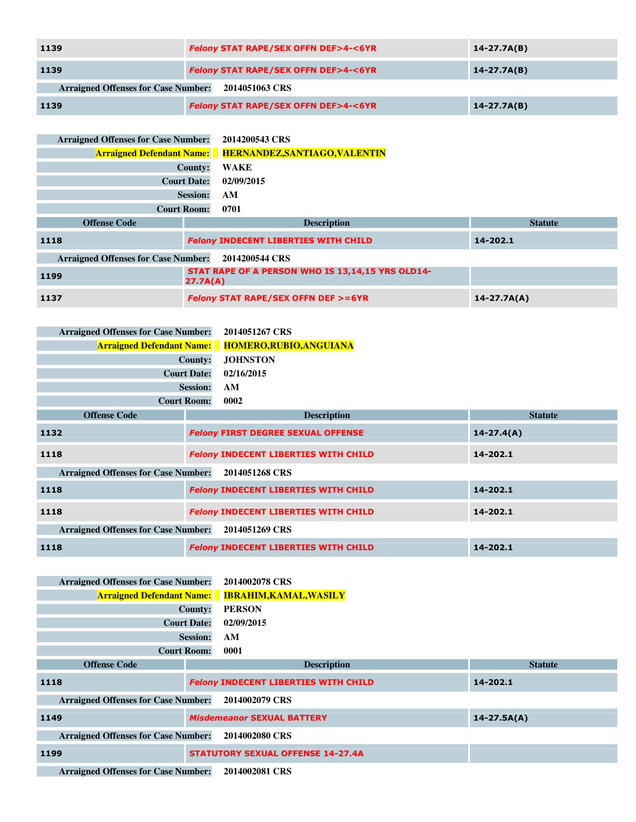| 1139                                                         | <b>Felony STAT RAPE/SEX OFFN DEF&gt;4-&lt;6YR</b> | $14 - 27.7A(B)$ |  |
|--------------------------------------------------------------|---------------------------------------------------|-----------------|--|
| 1139                                                         | <b>Felony STAT RAPE/SEX OFFN DEF&gt;4-&lt;6YR</b> | $14 - 27.7A(B)$ |  |
| <b>Arraigned Offenses for Case Number:</b><br>2014051063 CRS |                                                   |                 |  |
| 1139                                                         | <b>Felony STAT RAPE/SEX OFFN DEF&gt;4-&lt;6YR</b> | $14 - 27.7A(B)$ |  |

| <b>Arraigned Offenses for Case Number:</b> |                    | 2014200543 CRS                                                 |                 |
|--------------------------------------------|--------------------|----------------------------------------------------------------|-----------------|
|                                            |                    | <b>Arraigned Defendant Name:</b> HERNANDEZ, SANTIAGO, VALENTIN |                 |
|                                            | <b>County:</b>     | <b>WAKE</b>                                                    |                 |
|                                            | <b>Court Date:</b> | 02/09/2015                                                     |                 |
|                                            | <b>Session:</b>    | AM                                                             |                 |
|                                            | <b>Court Room:</b> | 0701                                                           |                 |
| <b>Offense Code</b>                        |                    | <b>Description</b>                                             | <b>Statute</b>  |
| 1118                                       |                    | <b>Felony INDECENT LIBERTIES WITH CHILD</b>                    | 14-202.1        |
| <b>Arraigned Offenses for Case Number:</b> |                    | 2014200544 CRS                                                 |                 |
| 1199                                       | 27.7A(A)           | STAT RAPE OF A PERSON WHO IS 13,14,15 YRS OLD14-               |                 |
| 1137                                       |                    | <b>Felony STAT RAPE/SEX OFFN DEF &gt;=6YR</b>                  | $14 - 27.7A(A)$ |

| <b>Arraigned Offenses for Case Number:</b> |                    | 2014051267 CRS                              |                |
|--------------------------------------------|--------------------|---------------------------------------------|----------------|
| <b>Arraigned Defendant Name:</b>           |                    | HOMERO, RUBIO, ANGUIANA                     |                |
|                                            | County:            | <b>JOHNSTON</b>                             |                |
|                                            | <b>Court Date:</b> | 02/16/2015                                  |                |
|                                            | <b>Session:</b>    | AM                                          |                |
|                                            | <b>Court Room:</b> | 0002                                        |                |
| <b>Offense Code</b>                        |                    | <b>Description</b>                          | <b>Statute</b> |
| 1132                                       |                    | <b>Felony FIRST DEGREE SEXUAL OFFENSE</b>   | $14 - 27.4(A)$ |
| 1118                                       |                    | <b>Felony INDECENT LIBERTIES WITH CHILD</b> | 14-202.1       |
| <b>Arraigned Offenses for Case Number:</b> |                    | 2014051268 CRS                              |                |
| 1118                                       |                    | <b>Felony INDECENT LIBERTIES WITH CHILD</b> | 14-202.1       |
| 1118                                       |                    | <b>Felony INDECENT LIBERTIES WITH CHILD</b> | 14-202.1       |
| <b>Arraigned Offenses for Case Number:</b> |                    | 2014051269 CRS                              |                |
| 1118                                       |                    | <b>Felony INDECENT LIBERTIES WITH CHILD</b> | 14-202.1       |

| <b>Arraigned Offenses for Case Number:</b> |                    | 2014002078 CRS                              |                 |
|--------------------------------------------|--------------------|---------------------------------------------|-----------------|
| <b>Arraigned Defendant Name:</b>           |                    | <b>IBRAHIM, KAMAL, WASILY</b>               |                 |
|                                            | County:            | <b>PERSON</b>                               |                 |
|                                            | <b>Court Date:</b> | 02/09/2015                                  |                 |
|                                            | <b>Session:</b>    | AM                                          |                 |
|                                            | <b>Court Room:</b> | 0001                                        |                 |
| <b>Offense Code</b>                        |                    | <b>Description</b>                          | <b>Statute</b>  |
| 1118                                       |                    | <b>Felony INDECENT LIBERTIES WITH CHILD</b> | 14-202.1        |
| <b>Arraigned Offenses for Case Number:</b> |                    | 2014002079 CRS                              |                 |
| 1149                                       |                    | <b>Misdemeanor SEXUAL BATTERY</b>           | $14 - 27.5A(A)$ |
| <b>Arraigned Offenses for Case Number:</b> |                    | 2014002080 CRS                              |                 |
| 1199                                       |                    | <b>STATUTORY SEXUAL OFFENSE 14-27.4A</b>    |                 |
| American del Offensor fou Case Number      |                    | <b>2014002001 CDC</b>                       |                 |

**Arraigned Offenses for Case Number: 2014002081 CRS**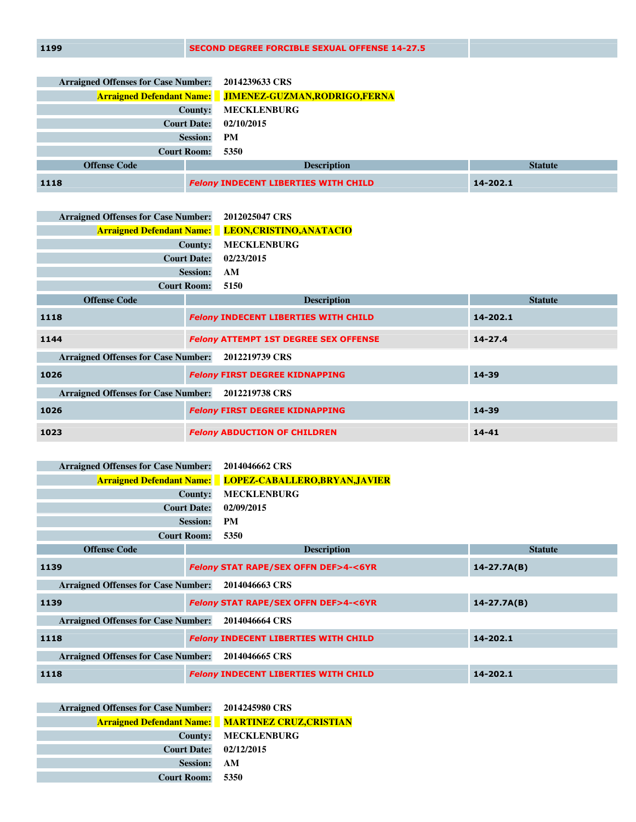| <b>Arraigned Offenses for Case Number:</b> | 2014239633 CRS                                                  |                |
|--------------------------------------------|-----------------------------------------------------------------|----------------|
|                                            | <b>Arraigned Defendant Name:</b> JIMENEZ-GUZMAN, RODRIGO, FERNA |                |
| County:                                    | <b>MECKLENBURG</b>                                              |                |
| <b>Court Date:</b>                         | 02/10/2015                                                      |                |
| <b>Session:</b>                            | <b>PM</b>                                                       |                |
| <b>Court Room:</b>                         | 5350                                                            |                |
| <b>Offense Code</b>                        | <b>Description</b>                                              | <b>Statute</b> |
| 1118                                       | <b>Felony INDECENT LIBERTIES WITH CHILD</b>                     | 14-202.1       |

| <b>Arraigned Offenses for Case Number:</b> |                    | 2012025047 CRS                                            |                |
|--------------------------------------------|--------------------|-----------------------------------------------------------|----------------|
|                                            |                    | <b>Arraigned Defendant Name:</b> LEON, CRISTINO, ANATACIO |                |
|                                            | <b>County:</b>     | <b>MECKLENBURG</b>                                        |                |
|                                            | <b>Court Date:</b> | 02/23/2015                                                |                |
|                                            | <b>Session:</b>    | AM                                                        |                |
|                                            | <b>Court Room:</b> | 5150                                                      |                |
| <b>Offense Code</b>                        |                    | <b>Description</b>                                        | <b>Statute</b> |
| 1118                                       |                    | <b>Felony INDECENT LIBERTIES WITH CHILD</b>               | 14-202.1       |
| 1144                                       |                    | <b>Felony ATTEMPT 1ST DEGREE SEX OFFENSE</b>              | $14 - 27.4$    |
| <b>Arraigned Offenses for Case Number:</b> |                    | 2012219739 CRS                                            |                |
| 1026                                       |                    | <b>Felony FIRST DEGREE KIDNAPPING</b>                     | 14-39          |
| <b>Arraigned Offenses for Case Number:</b> |                    | 2012219738 CRS                                            |                |
| 1026                                       |                    | <b>Felony FIRST DEGREE KIDNAPPING</b>                     | 14-39          |
| 1023                                       |                    | <b>Felony ABDUCTION OF CHILDREN</b>                       | $14 - 41$      |

| <b>Arraigned Offenses for Case Number:</b> |                    | 2014046662 CRS                                                  |                 |  |
|--------------------------------------------|--------------------|-----------------------------------------------------------------|-----------------|--|
|                                            |                    | <b>Arraigned Defendant Name:</b> LOPEZ-CABALLERO, BRYAN, JAVIER |                 |  |
|                                            | County:            | <b>MECKLENBURG</b>                                              |                 |  |
|                                            | <b>Court Date:</b> | 02/09/2015                                                      |                 |  |
|                                            | <b>Session:</b>    | <b>PM</b>                                                       |                 |  |
|                                            | <b>Court Room:</b> | 5350                                                            |                 |  |
| <b>Offense Code</b>                        |                    | <b>Description</b>                                              | <b>Statute</b>  |  |
| 1139                                       |                    | <b>Felony STAT RAPE/SEX OFFN DEF&gt;4-&lt;6YR</b>               | $14 - 27.7A(B)$ |  |
| <b>Arraigned Offenses for Case Number:</b> |                    | 2014046663 CRS                                                  |                 |  |
| 1139                                       |                    | <b>Felony STAT RAPE/SEX OFFN DEF&gt;4-&lt;6YR</b>               | $14 - 27.7A(B)$ |  |
| <b>Arraigned Offenses for Case Number:</b> |                    | 2014046664 CRS                                                  |                 |  |
| 1118                                       |                    | <b>Felony INDECENT LIBERTIES WITH CHILD</b>                     | 14-202.1        |  |
| <b>Arraigned Offenses for Case Number:</b> |                    | 2014046665 CRS                                                  |                 |  |
| 1118                                       |                    | <b>Felony INDECENT LIBERTIES WITH CHILD</b>                     | 14-202.1        |  |

| Arraigned Offenses for Case Number: 2014245980 CRS |                                                          |
|----------------------------------------------------|----------------------------------------------------------|
|                                                    | <b>Arraigned Defendant Name:</b> MARTINEZ CRUZ, CRISTIAN |
|                                                    | County: MECKLENBURG                                      |
| Court Date: 02/12/2015                             |                                                          |
| <b>Session:</b>                                    | – AM                                                     |
| <b>Court Room:</b>                                 | 5350                                                     |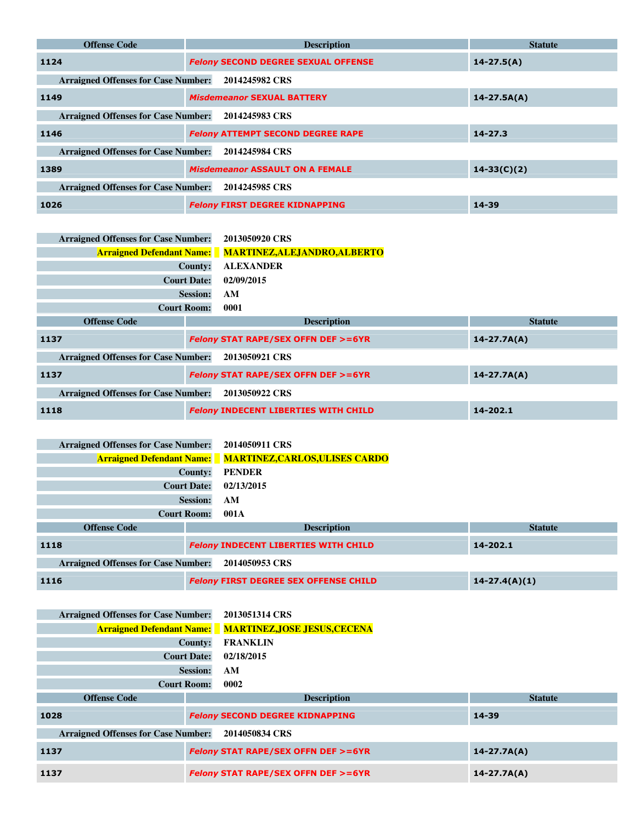| <b>Offense Code</b>                        | <b>Description</b>                         | <b>Statute</b>  |
|--------------------------------------------|--------------------------------------------|-----------------|
| 1124                                       | <b>Felony SECOND DEGREE SEXUAL OFFENSE</b> | $14 - 27.5(A)$  |
| <b>Arraigned Offenses for Case Number:</b> | 2014245982 CRS                             |                 |
| 1149                                       | <b>Misdemeanor SEXUAL BATTERY</b>          | $14 - 27.5A(A)$ |
| <b>Arraigned Offenses for Case Number:</b> | 2014245983 CRS                             |                 |
| 1146                                       | <b>Felony ATTEMPT SECOND DEGREE RAPE</b>   | $14 - 27.3$     |
| <b>Arraigned Offenses for Case Number:</b> | 2014245984 CRS                             |                 |
| 1389                                       | <b>Misdemeanor ASSAULT ON A FEMALE</b>     | $14 - 33(C)(2)$ |
| <b>Arraigned Offenses for Case Number:</b> | 2014245985 CRS                             |                 |
| 1026                                       | <b>Felony FIRST DEGREE KIDNAPPING</b>      | 14-39           |

| <b>Arraigned Offenses for Case Number:</b> |                    | 2013050920 CRS                                                |                 |  |
|--------------------------------------------|--------------------|---------------------------------------------------------------|-----------------|--|
|                                            |                    | <b>Arraigned Defendant Name:</b> MARTINEZ, ALEJANDRO, ALBERTO |                 |  |
|                                            | County:            | <b>ALEXANDER</b>                                              |                 |  |
|                                            | <b>Court Date:</b> | 02/09/2015                                                    |                 |  |
|                                            | <b>Session:</b>    | AM                                                            |                 |  |
| <b>Court Room:</b>                         |                    | 0001                                                          |                 |  |
| <b>Offense Code</b>                        |                    | <b>Description</b><br><b>Statute</b>                          |                 |  |
| 1137                                       |                    | <b>Felony STAT RAPE/SEX OFFN DEF &gt;=6YR</b>                 | $14 - 27.7A(A)$ |  |
| <b>Arraigned Offenses for Case Number:</b> |                    | 2013050921 CRS                                                |                 |  |
| 1137                                       |                    | <b>Felony STAT RAPE/SEX OFFN DEF &gt;=6YR</b>                 | $14 - 27.7A(A)$ |  |
| <b>Arraigned Offenses for Case Number:</b> |                    | 2013050922 CRS                                                |                 |  |
| 1118                                       |                    | <b>Felony INDECENT LIBERTIES WITH CHILD</b>                   | 14-202.1        |  |

| <b>Arraigned Offenses for Case Number:</b> |                 | 2014050911 CRS                                                  |                   |  |
|--------------------------------------------|-----------------|-----------------------------------------------------------------|-------------------|--|
|                                            |                 | <b>Arraigned Defendant Name:</b> MARTINEZ, CARLOS, ULISES CARDO |                   |  |
| County:                                    |                 | <b>PENDER</b>                                                   |                   |  |
| <b>Court Date:</b>                         |                 | 02/13/2015                                                      |                   |  |
|                                            | <b>Session:</b> | AM                                                              |                   |  |
| <b>Court Room:</b>                         |                 | 001A                                                            |                   |  |
| <b>Offense Code</b>                        |                 | <b>Description</b>                                              | <b>Statute</b>    |  |
| 1118                                       |                 | <b>Felony INDECENT LIBERTIES WITH CHILD</b><br>14-202.1         |                   |  |
| <b>Arraigned Offenses for Case Number:</b> |                 | 2014050953 CRS                                                  |                   |  |
| 1116                                       |                 | <b>Felony FIRST DEGREE SEX OFFENSE CHILD</b>                    | $14 - 27.4(A)(1)$ |  |

| <b>Arraigned Offenses for Case Number:</b> |                                                                  | 2013051314 CRS                                                |                 |  |
|--------------------------------------------|------------------------------------------------------------------|---------------------------------------------------------------|-----------------|--|
|                                            |                                                                  | <b>Arraigned Defendant Name:</b> MARTINEZ, JOSE JESUS, CECENA |                 |  |
| County:                                    |                                                                  | <b>FRANKLIN</b>                                               |                 |  |
| <b>Court Date:</b>                         |                                                                  | 02/18/2015                                                    |                 |  |
| <b>Session:</b>                            |                                                                  | AM                                                            |                 |  |
| <b>Court Room:</b>                         |                                                                  | 0002                                                          |                 |  |
| <b>Offense Code</b>                        |                                                                  | <b>Description</b><br><b>Statute</b>                          |                 |  |
| 1028                                       |                                                                  | <b>Felony SECOND DEGREE KIDNAPPING</b>                        | $14 - 39$       |  |
| <b>Arraigned Offenses for Case Number:</b> |                                                                  | 2014050834 CRS                                                |                 |  |
| 1137                                       | <b>Felony STAT RAPE/SEX OFFN DEF &gt;=6YR</b><br>$14 - 27.7A(A)$ |                                                               |                 |  |
| 1137                                       |                                                                  | <b>Felony STAT RAPE/SEX OFFN DEF &gt;=6YR</b>                 | $14 - 27.7A(A)$ |  |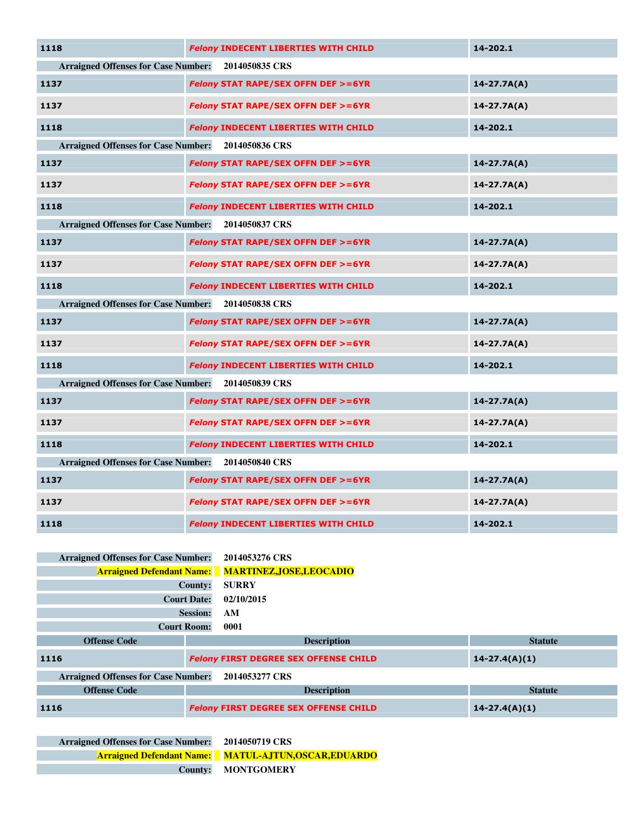| 1118                                                         | <b>Felony INDECENT LIBERTIES WITH CHILD</b>   | 14-202.1        |  |  |  |
|--------------------------------------------------------------|-----------------------------------------------|-----------------|--|--|--|
| <b>Arraigned Offenses for Case Number:</b><br>2014050835 CRS |                                               |                 |  |  |  |
| 1137                                                         | <b>Felony STAT RAPE/SEX OFFN DEF &gt;=6YR</b> | $14 - 27.7A(A)$ |  |  |  |
| 1137                                                         | Felony STAT RAPE/SEX OFFN DEF >=6YR           | $14 - 27.7A(A)$ |  |  |  |
| 1118                                                         | <b>Felony INDECENT LIBERTIES WITH CHILD</b>   | 14-202.1        |  |  |  |
| <b>Arraigned Offenses for Case Number:</b>                   | 2014050836 CRS                                |                 |  |  |  |
| 1137                                                         | <b>Felony STAT RAPE/SEX OFFN DEF &gt;=6YR</b> | $14 - 27.7A(A)$ |  |  |  |
| 1137                                                         | Felony STAT RAPE/SEX OFFN DEF >=6YR           | $14 - 27.7A(A)$ |  |  |  |
| 1118                                                         | <b>Felony INDECENT LIBERTIES WITH CHILD</b>   | 14-202.1        |  |  |  |
| <b>Arraigned Offenses for Case Number:</b>                   | 2014050837 CRS                                |                 |  |  |  |
| 1137                                                         | Felony STAT RAPE/SEX OFFN DEF >=6YR           | $14 - 27.7A(A)$ |  |  |  |
| 1137                                                         | Felony STAT RAPE/SEX OFFN DEF >=6YR           | $14 - 27.7A(A)$ |  |  |  |
| 1118                                                         | <b>Felony INDECENT LIBERTIES WITH CHILD</b>   | 14-202.1        |  |  |  |
| <b>Arraigned Offenses for Case Number:</b><br>2014050838 CRS |                                               |                 |  |  |  |
| 1137                                                         | <b>Felony STAT RAPE/SEX OFFN DEF &gt;=6YR</b> | $14 - 27.7A(A)$ |  |  |  |
| 1137                                                         | <b>Felony STAT RAPE/SEX OFFN DEF &gt;=6YR</b> | $14 - 27.7A(A)$ |  |  |  |
| 1118                                                         | <b>Felony INDECENT LIBERTIES WITH CHILD</b>   | 14-202.1        |  |  |  |
| <b>Arraigned Offenses for Case Number:</b>                   | 2014050839 CRS                                |                 |  |  |  |
| 1137                                                         | <b>Felony STAT RAPE/SEX OFFN DEF &gt;=6YR</b> | $14 - 27.7A(A)$ |  |  |  |
| 1137                                                         | <b>Felony STAT RAPE/SEX OFFN DEF &gt;=6YR</b> | $14 - 27.7A(A)$ |  |  |  |
| 1118                                                         | <b>Felony INDECENT LIBERTIES WITH CHILD</b>   | 14-202.1        |  |  |  |
| <b>Arraigned Offenses for Case Number:</b>                   | 2014050840 CRS                                |                 |  |  |  |
| 1137                                                         | <b>Felony STAT RAPE/SEX OFFN DEF &gt;=6YR</b> | $14 - 27.7A(A)$ |  |  |  |
| 1137                                                         | <b>Felony STAT RAPE/SEX OFFN DEF &gt;=6YR</b> | $14 - 27.7A(A)$ |  |  |  |
| 1118                                                         | <b>Felony INDECENT LIBERTIES WITH CHILD</b>   | 14-202.1        |  |  |  |

| <b>Arraigned Offenses for Case Number:</b> |                    | 2014053276 CRS                                            |                   |  |
|--------------------------------------------|--------------------|-----------------------------------------------------------|-------------------|--|
|                                            |                    | <b>Arraigned Defendant Name:</b> MARTINEZ, JOSE, LEOCADIO |                   |  |
|                                            | County:            | <b>SURRY</b>                                              |                   |  |
| <b>Court Date:</b>                         |                    | 02/10/2015                                                |                   |  |
| <b>Session:</b>                            |                    | AM                                                        |                   |  |
| <b>Court Room:</b>                         |                    | 0001                                                      |                   |  |
| <b>Offense Code</b>                        |                    | <b>Description</b>                                        | <b>Statute</b>    |  |
| 1116                                       |                    | <b>Felony FIRST DEGREE SEX OFFENSE CHILD</b>              | $14 - 27.4(A)(1)$ |  |
| <b>Arraigned Offenses for Case Number:</b> |                    | 2014053277 CRS                                            |                   |  |
| <b>Offense Code</b>                        | <b>Description</b> |                                                           | <b>Statute</b>    |  |
| 1116                                       |                    | <b>Felony FIRST DEGREE SEX OFFENSE CHILD</b>              | $14 - 27.4(A)(1)$ |  |

**Arraigned Offenses for Case Number: 2014050719 CRS Arraigned Defendant Name: MATUL-AJTUN,OSCAR,EDUARDO County: MONTGOMERY**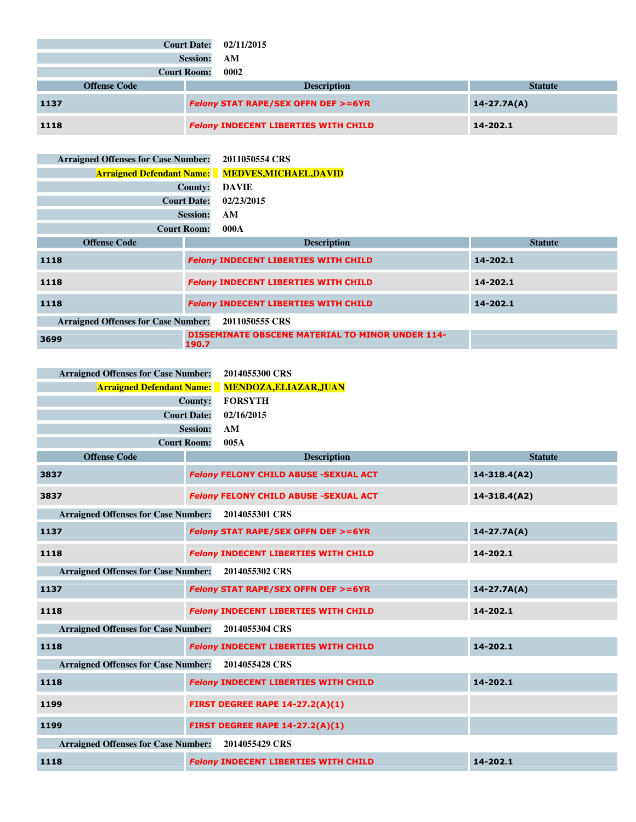|      |                     | <b>Court Date:</b><br><b>Session:</b> | 02/11/2015<br>AM                              |                 |
|------|---------------------|---------------------------------------|-----------------------------------------------|-----------------|
|      |                     | <b>Court Room:</b>                    | 0002                                          |                 |
|      | <b>Offense Code</b> |                                       | <b>Description</b>                            | <b>Statute</b>  |
| 1137 |                     |                                       | <b>Felony STAT RAPE/SEX OFFN DEF &gt;=6YR</b> | $14 - 27.7A(A)$ |
| 1118 |                     |                                       | <b>Felony INDECENT LIBERTIES WITH CHILD</b>   | 14-202.1        |

| <b>Arraigned Offenses for Case Number:</b> | 2011050554 CRS                              |                                                         |                |
|--------------------------------------------|---------------------------------------------|---------------------------------------------------------|----------------|
| <b>Arraigned Defendant Name:</b>           |                                             | <b>MEDVES,MICHAEL,DAVID</b>                             |                |
|                                            | <b>County:</b><br><b>DAVIE</b>              |                                                         |                |
|                                            | <b>Court Date:</b><br>02/23/2015            |                                                         |                |
|                                            | <b>Session:</b><br>AM                       |                                                         |                |
| <b>Court Room:</b>                         | 000A                                        |                                                         |                |
| <b>Offense Code</b>                        |                                             | <b>Description</b>                                      | <b>Statute</b> |
| 1118                                       |                                             | <b>Felony INDECENT LIBERTIES WITH CHILD</b>             | 14-202.1       |
| 1118                                       |                                             | <b>Felony INDECENT LIBERTIES WITH CHILD</b>             | 14-202.1       |
| 1118                                       | <b>Felony INDECENT LIBERTIES WITH CHILD</b> | 14-202.1                                                |                |
| <b>Arraigned Offenses for Case Number:</b> | 2011050555 CRS                              |                                                         |                |
| 3699                                       | 190.7                                       | <b>DISSEMINATE OBSCENE MATERIAL TO MINOR UNDER 114-</b> |                |

| Arraigned Offenses for Case Number: 2014055300 CRS      |
|---------------------------------------------------------|
| <b>Arraigned Defendant Name:</b> MENDOZA, ELIAZAR, JUAN |
| FORSYTH                                                 |
| Court Date: 02/16/2015                                  |
| AM                                                      |
| 005A                                                    |
|                                                         |

| <b>Offense Code</b>                                | <b>Description</b>                            | <b>Statute</b>   |
|----------------------------------------------------|-----------------------------------------------|------------------|
| 3837                                               | <b>Felony FELONY CHILD ABUSE -SEXUAL ACT</b>  | $14 - 318.4(A2)$ |
| 3837                                               | <b>Felony FELONY CHILD ABUSE -SEXUAL ACT</b>  | $14 - 318.4(A2)$ |
| <b>Arraigned Offenses for Case Number:</b>         | 2014055301 CRS                                |                  |
| 1137                                               | <b>Felony STAT RAPE/SEX OFFN DEF &gt;=6YR</b> | $14 - 27.7A(A)$  |
| 1118                                               | <b>Felony INDECENT LIBERTIES WITH CHILD</b>   | 14-202.1         |
| <b>Arraigned Offenses for Case Number:</b>         | 2014055302 CRS                                |                  |
| 1137                                               | <b>Felony STAT RAPE/SEX OFFN DEF &gt;=6YR</b> | $14 - 27.7A(A)$  |
| 1118                                               | <b>Felony INDECENT LIBERTIES WITH CHILD</b>   | 14-202.1         |
| <b>Arraigned Offenses for Case Number:</b>         | 2014055304 CRS                                |                  |
| 1118                                               | <b>Felony INDECENT LIBERTIES WITH CHILD</b>   | 14-202.1         |
| Arraigned Offenses for Case Number: 2014055428 CRS |                                               |                  |
| 1118                                               | <b>Felony INDECENT LIBERTIES WITH CHILD</b>   | 14-202.1         |
| 1199                                               | <b>FIRST DEGREE RAPE 14-27.2(A)(1)</b>        |                  |
| 1199                                               | <b>FIRST DEGREE RAPE 14-27.2(A)(1)</b>        |                  |
| <b>Arraigned Offenses for Case Number:</b>         | 2014055429 CRS                                |                  |
| 1118                                               | <b>Felony INDECENT LIBERTIES WITH CHILD</b>   | 14-202.1         |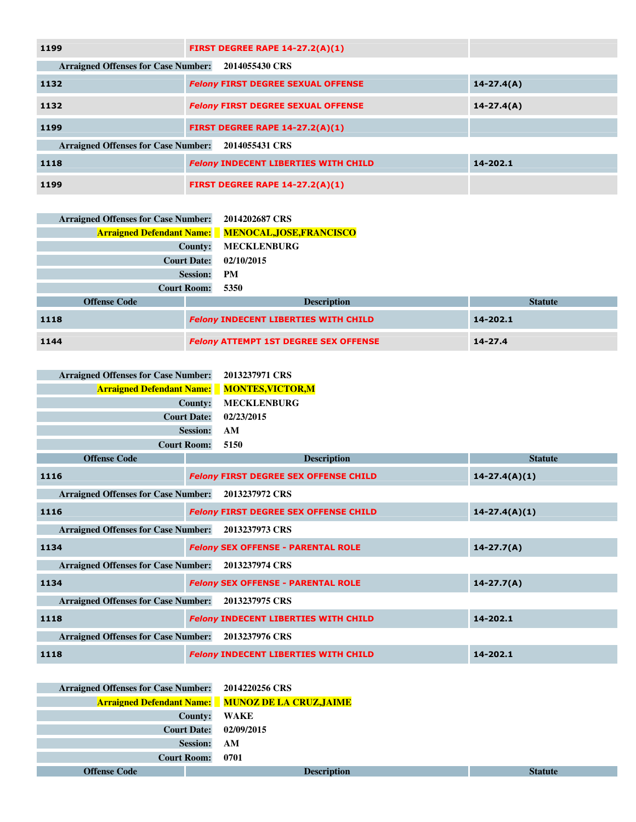| 1199                                       | <b>FIRST DEGREE RAPE 14-27.2(A)(1)</b>      |                |
|--------------------------------------------|---------------------------------------------|----------------|
| <b>Arraigned Offenses for Case Number:</b> | 2014055430 CRS                              |                |
| 1132                                       | <b>Felony FIRST DEGREE SEXUAL OFFENSE</b>   | $14 - 27.4(A)$ |
| 1132                                       | <b>Felony FIRST DEGREE SEXUAL OFFENSE</b>   | $14 - 27.4(A)$ |
| 1199                                       | <b>FIRST DEGREE RAPE 14-27.2(A)(1)</b>      |                |
| <b>Arraigned Offenses for Case Number:</b> | 2014055431 CRS                              |                |
| 1118                                       | <b>Felony INDECENT LIBERTIES WITH CHILD</b> | 14-202.1       |
| 1199                                       | <b>FIRST DEGREE RAPE 14-27.2(A)(1)</b>      |                |

| <b>Arraigned Offenses for Case Number:</b> | 2014202687 CRS                                            |                |
|--------------------------------------------|-----------------------------------------------------------|----------------|
|                                            | <b>Arraigned Defendant Name:</b> MENOCAL, JOSE, FRANCISCO |                |
|                                            | <b>MECKLENBURG</b><br>County:                             |                |
| <b>Court Date:</b>                         | 02/10/2015                                                |                |
|                                            | <b>Session:</b><br><b>PM</b>                              |                |
| <b>Court Room:</b>                         | 5350                                                      |                |
| <b>Offense Code</b>                        | <b>Description</b>                                        | <b>Statute</b> |
| 1118                                       | <b>Felony INDECENT LIBERTIES WITH CHILD</b>               | 14-202.1       |
| 1144                                       | <b>Felony ATTEMPT 1ST DEGREE SEX OFFENSE</b>              | $14 - 27.4$    |

| <b>Arraigned Offenses for Case Number:</b> |                    | 2013237971 CRS                               |                   |
|--------------------------------------------|--------------------|----------------------------------------------|-------------------|
| <b>Arraigned Defendant Name:</b>           |                    | <b>MONTES,VICTOR,M</b>                       |                   |
| <b>County:</b>                             |                    | <b>MECKLENBURG</b>                           |                   |
| <b>Court Date:</b>                         |                    | 02/23/2015                                   |                   |
|                                            | <b>Session:</b>    | AM                                           |                   |
|                                            | <b>Court Room:</b> | 5150                                         |                   |
| <b>Offense Code</b>                        |                    | <b>Description</b>                           | <b>Statute</b>    |
| 1116                                       |                    | <b>Felony FIRST DEGREE SEX OFFENSE CHILD</b> | $14 - 27.4(A)(1)$ |
| <b>Arraigned Offenses for Case Number:</b> |                    | 2013237972 CRS                               |                   |
| 1116                                       |                    | <b>Felony FIRST DEGREE SEX OFFENSE CHILD</b> | $14 - 27.4(A)(1)$ |
| <b>Arraigned Offenses for Case Number:</b> |                    | 2013237973 CRS                               |                   |
| 1134                                       |                    | <b>Felony SEX OFFENSE - PARENTAL ROLE</b>    | $14 - 27.7(A)$    |
| <b>Arraigned Offenses for Case Number:</b> |                    | 2013237974 CRS                               |                   |
| 1134                                       |                    | <b>Felony SEX OFFENSE - PARENTAL ROLE</b>    | $14 - 27.7(A)$    |
| <b>Arraigned Offenses for Case Number:</b> |                    | 2013237975 CRS                               |                   |
| 1118                                       |                    | <b>Felony INDECENT LIBERTIES WITH CHILD</b>  | 14-202.1          |
| <b>Arraigned Offenses for Case Number:</b> |                    | 2013237976 CRS                               |                   |
| 1118                                       |                    | <b>Felony INDECENT LIBERTIES WITH CHILD</b>  | 14-202.1          |

| <b>Offense Code</b>                        | <b>Description</b>                                       | <b>Statute</b> |
|--------------------------------------------|----------------------------------------------------------|----------------|
| <b>Court Room:</b>                         | 0701                                                     |                |
|                                            | <b>Session:</b><br>AM                                    |                |
| <b>Court Date:</b>                         | 02/09/2015                                               |                |
|                                            | County:<br>WAKE                                          |                |
|                                            | <b>Arraigned Defendant Name:</b> MUNOZ DE LA CRUZ, JAIME |                |
| <b>Arraigned Offenses for Case Number:</b> | 2014220256 CRS                                           |                |
|                                            |                                                          |                |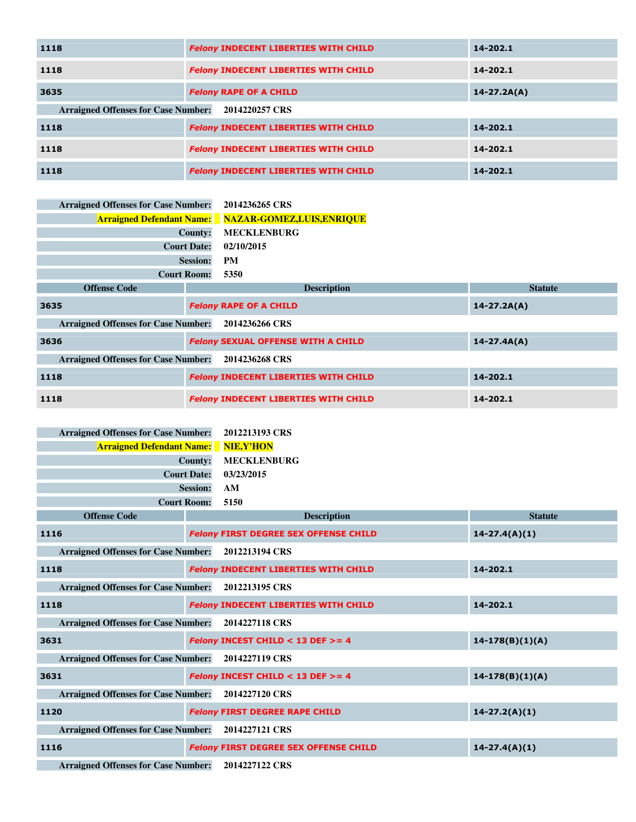| 1118                                       | <b>Felony INDECENT LIBERTIES WITH CHILD</b> | 14-202.1        |
|--------------------------------------------|---------------------------------------------|-----------------|
| 1118                                       | <b>Felony INDECENT LIBERTIES WITH CHILD</b> | 14-202.1        |
| 3635                                       | <b>Felony RAPE OF A CHILD</b>               | $14 - 27.2A(A)$ |
| <b>Arraigned Offenses for Case Number:</b> | 2014220257 CRS                              |                 |
| 1118                                       | <b>Felony INDECENT LIBERTIES WITH CHILD</b> | 14-202.1        |
| 1118                                       | <b>Felony INDECENT LIBERTIES WITH CHILD</b> | 14-202.1        |
| 1118                                       | <b>Felony INDECENT LIBERTIES WITH CHILD</b> | 14-202.1        |

| <b>Arraigned Offenses for Case Number:</b> |                    | 2014236265 CRS                                              |                 |
|--------------------------------------------|--------------------|-------------------------------------------------------------|-----------------|
|                                            |                    | <b>Arraigned Defendant Name:</b> NAZAR-GOMEZ, LUIS, ENRIQUE |                 |
|                                            | County:            | <b>MECKLENBURG</b>                                          |                 |
|                                            | <b>Court Date:</b> | 02/10/2015                                                  |                 |
|                                            | <b>Session:</b>    | <b>PM</b>                                                   |                 |
|                                            | <b>Court Room:</b> | 5350                                                        |                 |
| <b>Offense Code</b>                        |                    | <b>Description</b>                                          | <b>Statute</b>  |
| 3635                                       |                    | <b>Felony RAPE OF A CHILD</b>                               | $14 - 27.2A(A)$ |
| <b>Arraigned Offenses for Case Number:</b> |                    | 2014236266 CRS                                              |                 |
| 3636                                       |                    | <b>Felony SEXUAL OFFENSE WITH A CHILD</b>                   | $14 - 27.4A(A)$ |
| <b>Arraigned Offenses for Case Number:</b> |                    | 2014236268 CRS                                              |                 |
| 1118                                       |                    | <b>Felony INDECENT LIBERTIES WITH CHILD</b>                 | 14-202.1        |
| 1118                                       |                    | <b>Felony INDECENT LIBERTIES WITH CHILD</b>                 | 14-202.1        |

| <b>Arraigned Offenses for Case Number:</b>         |                    | 2012213193 CRS                                 |                   |
|----------------------------------------------------|--------------------|------------------------------------------------|-------------------|
| <b>Arraigned Defendant Name:</b>                   |                    | NIE, Y'HON                                     |                   |
|                                                    | County:            | <b>MECKLENBURG</b>                             |                   |
|                                                    | <b>Court Date:</b> | 03/23/2015                                     |                   |
|                                                    | <b>Session:</b>    | AM                                             |                   |
|                                                    | <b>Court Room:</b> | 5150                                           |                   |
| <b>Offense Code</b>                                |                    | <b>Description</b>                             | <b>Statute</b>    |
| 1116                                               |                    | <b>Felony FIRST DEGREE SEX OFFENSE CHILD</b>   | $14-27.4(A)(1)$   |
| <b>Arraigned Offenses for Case Number:</b>         |                    | 2012213194 CRS                                 |                   |
| 1118                                               |                    | <b>Felony INDECENT LIBERTIES WITH CHILD</b>    | 14-202.1          |
| <b>Arraigned Offenses for Case Number:</b>         |                    | 2012213195 CRS                                 |                   |
| 1118                                               |                    | <b>Felony INDECENT LIBERTIES WITH CHILD</b>    | 14-202.1          |
| <b>Arraigned Offenses for Case Number:</b>         |                    | 2014227118 CRS                                 |                   |
| 3631                                               |                    | <b>Felony INCEST CHILD &lt; 13 DEF &gt;= 4</b> | $14-178(B)(1)(A)$ |
| <b>Arraigned Offenses for Case Number:</b>         |                    | 2014227119 CRS                                 |                   |
| 3631                                               |                    | <b>Felony INCEST CHILD &lt; 13 DEF &gt;= 4</b> | $14-178(B)(1)(A)$ |
| <b>Arraigned Offenses for Case Number:</b>         |                    | 2014227120 CRS                                 |                   |
| 1120                                               |                    | <b>Felony FIRST DEGREE RAPE CHILD</b>          | $14 - 27.2(A)(1)$ |
| Arraigned Offenses for Case Number: 2014227121 CRS |                    |                                                |                   |
| 1116                                               |                    | <b>Felony FIRST DEGREE SEX OFFENSE CHILD</b>   | $14-27.4(A)(1)$   |
| the contract of the contract of the contract of    |                    | المسما ووالمواطنة والمعامل المراري المراري     |                   |

**Arraigned Offenses for Case Number: 2014227122 CRS**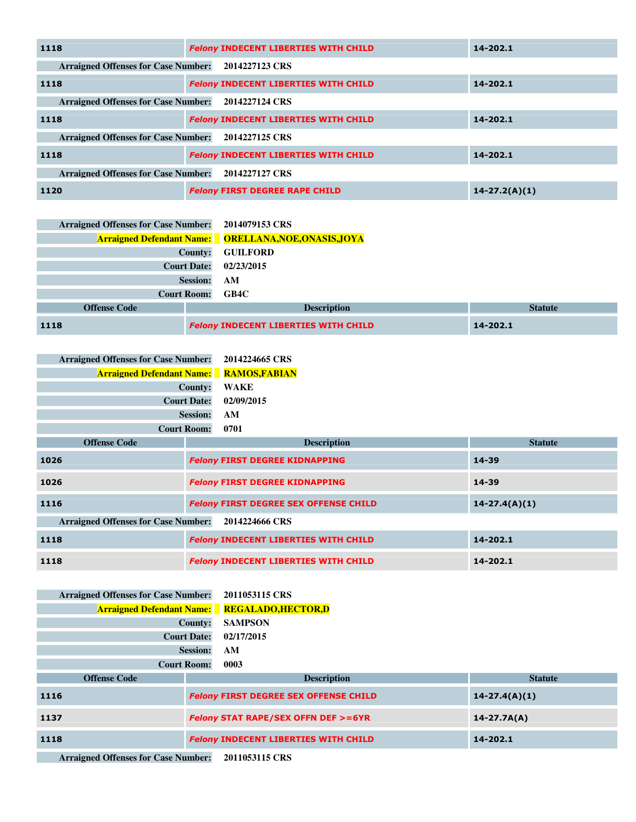| 1118                                       | <b>Felony INDECENT LIBERTIES WITH CHILD</b> | 14-202.1          |
|--------------------------------------------|---------------------------------------------|-------------------|
| <b>Arraigned Offenses for Case Number:</b> | 2014227123 CRS                              |                   |
| 1118                                       | <b>Felony INDECENT LIBERTIES WITH CHILD</b> | 14-202.1          |
| <b>Arraigned Offenses for Case Number:</b> | 2014227124 CRS                              |                   |
| 1118                                       | <b>Felony INDECENT LIBERTIES WITH CHILD</b> | 14-202.1          |
| <b>Arraigned Offenses for Case Number:</b> | 2014227125 CRS                              |                   |
| 1118                                       | <b>Felony INDECENT LIBERTIES WITH CHILD</b> | 14-202.1          |
| <b>Arraigned Offenses for Case Number:</b> | 2014227127 CRS                              |                   |
| 1120                                       | <b>Felony FIRST DEGREE RAPE CHILD</b>       | $14 - 27.2(A)(1)$ |

| <b>Arraigned Offenses for Case Number:</b> | 2014079153 CRS                                               |                |
|--------------------------------------------|--------------------------------------------------------------|----------------|
|                                            | <b>Arraigned Defendant Name:</b> ORELLANA, NOE, ONASIS, JOYA |                |
| <b>County:</b>                             | <b>GUILFORD</b>                                              |                |
| <b>Court Date:</b>                         | 02/23/2015                                                   |                |
| <b>Session:</b>                            | AM                                                           |                |
| <b>Court Room:</b>                         | GB4C                                                         |                |
| <b>Offense Code</b>                        | <b>Description</b>                                           | <b>Statute</b> |
| 1118                                       | <b>Felony INDECENT LIBERTIES WITH CHILD</b>                  | 14-202.1       |

| <b>Arraigned Offenses for Case Number:</b> | 2014224665 CRS       |
|--------------------------------------------|----------------------|
| <b>Arraigned Defendant Name:</b>           | <b>RAMOS, FABIAN</b> |
| County:                                    | WAKE                 |
| <b>Court Date: 02/09/2015</b>              |                      |
| <b>Session:</b>                            | AM                   |
| <b>Court Room:</b>                         | 0701                 |

| <b>Offense Code</b>                        | <b>Description</b>                           | <b>Statute</b>    |
|--------------------------------------------|----------------------------------------------|-------------------|
| 1026                                       | <b>Felony FIRST DEGREE KIDNAPPING</b>        | 14-39             |
| 1026                                       | <b>Felony FIRST DEGREE KIDNAPPING</b>        | 14-39             |
| 1116                                       | <b>Felony FIRST DEGREE SEX OFFENSE CHILD</b> | $14 - 27.4(A)(1)$ |
| <b>Arraigned Offenses for Case Number:</b> | 2014224666 CRS                               |                   |
| 1118                                       | <b>Felony INDECENT LIBERTIES WITH CHILD</b>  | 14-202.1          |
| 1118                                       | <b>Felony INDECENT LIBERTIES WITH CHILD</b>  | 14-202.1          |

| <b>Arraigned Offenses for Case Number:</b> |                    | 2011053115 CRS                                       |                   |
|--------------------------------------------|--------------------|------------------------------------------------------|-------------------|
|                                            |                    | <b>Arraigned Defendant Name:</b> REGALADO, HECTOR, D |                   |
|                                            | County:            | <b>SAMPSON</b>                                       |                   |
|                                            | <b>Court Date:</b> | 02/17/2015                                           |                   |
|                                            | <b>Session:</b>    | AM                                                   |                   |
|                                            | <b>Court Room:</b> | 0003                                                 |                   |
| <b>Offense Code</b>                        |                    | <b>Description</b>                                   | <b>Statute</b>    |
|                                            |                    |                                                      |                   |
| 1116                                       |                    | <b>Felony FIRST DEGREE SEX OFFENSE CHILD</b>         | $14 - 27.4(A)(1)$ |
| 1137                                       |                    | <b>Felony STAT RAPE/SEX OFFN DEF &gt;=6YR</b>        | $14 - 27.7A(A)$   |
| 1118                                       |                    | <b>Felony INDECENT LIBERTIES WITH CHILD</b>          | 14-202.1          |

**Arraigned Offenses for Case Number: 2011053115 CRS**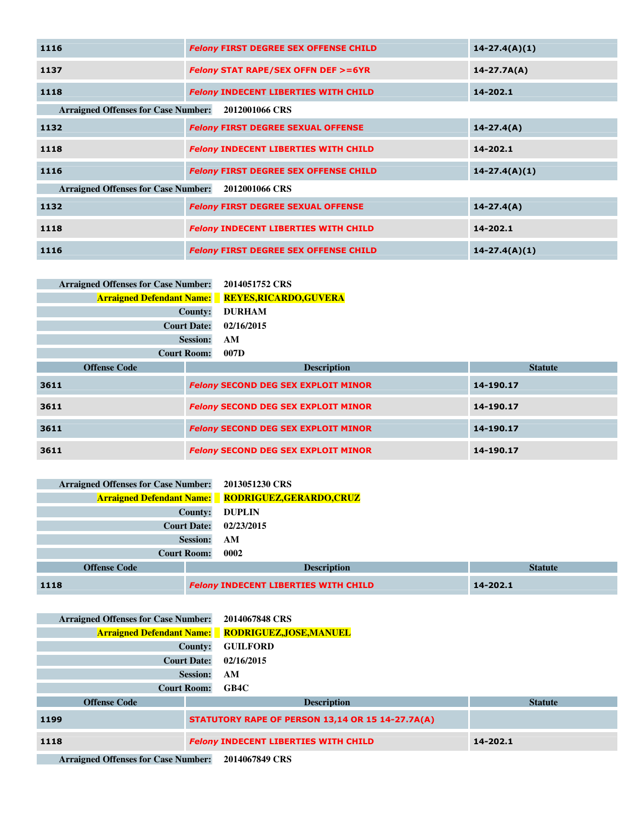| 1116                                                         | <b>Felony FIRST DEGREE SEX OFFENSE CHILD</b>  | $14 - 27.4(A)(1)$ |  |  |
|--------------------------------------------------------------|-----------------------------------------------|-------------------|--|--|
| 1137                                                         | <b>Felony STAT RAPE/SEX OFFN DEF &gt;=6YR</b> | $14 - 27.7A(A)$   |  |  |
| 1118                                                         | <b>Felony INDECENT LIBERTIES WITH CHILD</b>   | 14-202.1          |  |  |
| <b>Arraigned Offenses for Case Number:</b>                   | 2012001066 CRS                                |                   |  |  |
| 1132                                                         | <b>Felony FIRST DEGREE SEXUAL OFFENSE</b>     | $14 - 27.4(A)$    |  |  |
| 1118                                                         | <b>Felony INDECENT LIBERTIES WITH CHILD</b>   | 14-202.1          |  |  |
| 1116                                                         | <b>Felony FIRST DEGREE SEX OFFENSE CHILD</b>  | $14 - 27.4(A)(1)$ |  |  |
| <b>Arraigned Offenses for Case Number:</b><br>2012001066 CRS |                                               |                   |  |  |
| 1132                                                         | <b>Felony FIRST DEGREE SEXUAL OFFENSE</b>     | $14 - 27.4(A)$    |  |  |
| 1118                                                         | <b>Felony INDECENT LIBERTIES WITH CHILD</b>   | 14-202.1          |  |  |
| 1116                                                         | <b>Felony FIRST DEGREE SEX OFFENSE CHILD</b>  | $14 - 27.4(A)(1)$ |  |  |

| <b>Arraigned Offenses for Case Number:</b> | 2014051752 CRS              |
|--------------------------------------------|-----------------------------|
| <b>Arraigned Defendant Name:</b>           | <b>REYES,RICARDO,GUVERA</b> |
| <b>County:</b>                             | <b>DURHAM</b>               |
| <b>Court Date:</b>                         | 02/16/2015                  |
| <b>Session:</b>                            | AМ                          |
| <b>Court Room:</b>                         | 007D                        |
| <b>Offense Code</b>                        | <b>Description</b>          |
|                                            |                             |

| <b>Offense Code</b> | <b>Description</b>                         | <b>Statute</b> |
|---------------------|--------------------------------------------|----------------|
| 3611                | <b>Felony SECOND DEG SEX EXPLOIT MINOR</b> | 14-190.17      |
| 3611                | <b>Felony SECOND DEG SEX EXPLOIT MINOR</b> | 14-190.17      |
| 3611                | <b>Felony SECOND DEG SEX EXPLOIT MINOR</b> | 14-190.17      |
| 3611                | <b>Felony SECOND DEG SEX EXPLOIT MINOR</b> | 14-190.17      |

| <b>Arraigned Offenses for Case Number:</b> | 2013051230 CRS                                            |                |
|--------------------------------------------|-----------------------------------------------------------|----------------|
|                                            | <b>Arraigned Defendant Name:</b> RODRIGUEZ, GERARDO, CRUZ |                |
| <b>County:</b>                             | <b>DUPLIN</b>                                             |                |
| <b>Court Date:</b><br>02/23/2015           |                                                           |                |
| <b>Session:</b>                            | AM                                                        |                |
| <b>Court Room:</b>                         | 0002                                                      |                |
| <b>Offense Code</b>                        | <b>Description</b>                                        | <b>Statute</b> |
| 1118                                       | <b>Felony INDECENT LIBERTIES WITH CHILD</b>               | 14-202.1       |

| <b>Arraigned Offenses for Case Number:</b>             |                                                  | 2014067848 CRS                                           |                |
|--------------------------------------------------------|--------------------------------------------------|----------------------------------------------------------|----------------|
|                                                        |                                                  | <b>Arraigned Defendant Name:</b> RODRIGUEZ, JOSE, MANUEL |                |
| County:                                                |                                                  | <b>GUILFORD</b>                                          |                |
| <b>Court Date:</b>                                     |                                                  | 02/16/2015                                               |                |
| <b>Session:</b>                                        |                                                  | AM                                                       |                |
| <b>Court Room:</b>                                     |                                                  | GB4C                                                     |                |
| <b>Offense Code</b>                                    |                                                  | <b>Description</b>                                       | <b>Statute</b> |
| 1199                                                   | STATUTORY RAPE OF PERSON 13,14 OR 15 14-27.7A(A) |                                                          |                |
| <b>Felony INDECENT LIBERTIES WITH CHILD</b><br>1118    |                                                  | 14-202.1                                                 |                |
| Amateural Offensor for Case Munkan<br>$2014077040$ CDC |                                                  |                                                          |                |

**Arraigned Offenses for Case Number: 2014067849 CRS**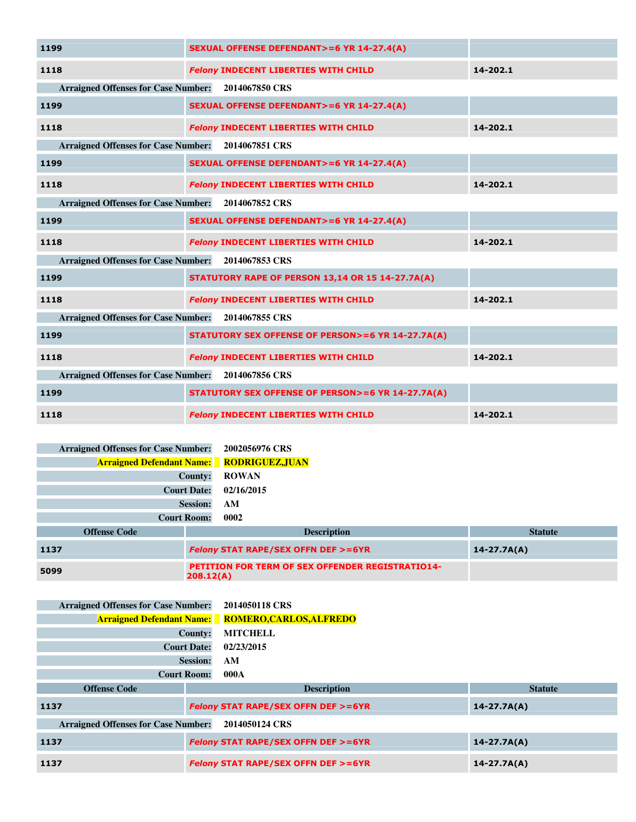| 1199                                               | <b>SEXUAL OFFENSE DEFENDANT&gt;=6 YR 14-27.4(A)</b>         |          |  |
|----------------------------------------------------|-------------------------------------------------------------|----------|--|
| 1118                                               | <b>Felony INDECENT LIBERTIES WITH CHILD</b>                 | 14-202.1 |  |
| Arraigned Offenses for Case Number: 2014067850 CRS |                                                             |          |  |
| 1199                                               | <b>SEXUAL OFFENSE DEFENDANT&gt;=6 YR 14-27.4(A)</b>         |          |  |
| 1118                                               | <b>Felony INDECENT LIBERTIES WITH CHILD</b>                 | 14-202.1 |  |
| Arraigned Offenses for Case Number: 2014067851 CRS |                                                             |          |  |
| 1199                                               | <b>SEXUAL OFFENSE DEFENDANT&gt;=6 YR 14-27.4(A)</b>         |          |  |
| 1118                                               | <b>Felony INDECENT LIBERTIES WITH CHILD</b>                 | 14-202.1 |  |
| Arraigned Offenses for Case Number: 2014067852 CRS |                                                             |          |  |
| 1199                                               | <b>SEXUAL OFFENSE DEFENDANT&gt;=6 YR 14-27.4(A)</b>         |          |  |
| 1118                                               | <b>Felony INDECENT LIBERTIES WITH CHILD</b>                 | 14-202.1 |  |
| <b>Arraigned Offenses for Case Number:</b>         | 2014067853 CRS                                              |          |  |
| 1199                                               | STATUTORY RAPE OF PERSON 13,14 OR 15 14-27.7A(A)            |          |  |
| 1118                                               | <b>Felony INDECENT LIBERTIES WITH CHILD</b>                 | 14-202.1 |  |
| <b>Arraigned Offenses for Case Number:</b>         | 2014067855 CRS                                              |          |  |
| 1199                                               | <b>STATUTORY SEX OFFENSE OF PERSON&gt;=6 YR 14-27.7A(A)</b> |          |  |
| 1118                                               | <b>Felony INDECENT LIBERTIES WITH CHILD</b>                 | 14-202.1 |  |
| Arraigned Offenses for Case Number: 2014067856 CRS |                                                             |          |  |
| 1199                                               | STATUTORY SEX OFFENSE OF PERSON>=6 YR 14-27.7A(A)           |          |  |
| 1118                                               | <b>Felony INDECENT LIBERTIES WITH CHILD</b>                 | 14-202.1 |  |

| <b>Arraigned Offenses for Case Number:</b><br><b>Arraigned Defendant Name:</b> RODRIGUEZ, JUAN | 2002056976 CRS                                                       |                |
|------------------------------------------------------------------------------------------------|----------------------------------------------------------------------|----------------|
| County:                                                                                        | <b>ROWAN</b>                                                         |                |
| <b>Court Date:</b>                                                                             | 02/16/2015                                                           |                |
| <b>Session:</b>                                                                                | AM                                                                   |                |
| <b>Court Room:</b>                                                                             | 0002                                                                 |                |
| <b>Offense Code</b>                                                                            | <b>Description</b>                                                   | <b>Statute</b> |
| 1137                                                                                           | <b>Felony STAT RAPE/SEX OFFN DEF &gt;=6YR</b><br>$14 - 27.7A(A)$     |                |
| 5099                                                                                           | <b>PETITION FOR TERM OF SEX OFFENDER REGISTRATIO14-</b><br>208.12(A) |                |

| <b>Arraigned Offenses for Case Number:</b>                   |                    | 2014050118 CRS                                           |                 |
|--------------------------------------------------------------|--------------------|----------------------------------------------------------|-----------------|
|                                                              |                    | <b>Arraigned Defendant Name:</b> ROMERO, CARLOS, ALFREDO |                 |
|                                                              | County:            | <b>MITCHELL</b>                                          |                 |
|                                                              | <b>Court Date:</b> | 02/23/2015                                               |                 |
|                                                              | <b>Session:</b>    | AM                                                       |                 |
|                                                              | <b>Court Room:</b> | 000A                                                     |                 |
| <b>Offense Code</b>                                          |                    | <b>Description</b>                                       | <b>Statute</b>  |
| 1137                                                         |                    | <b>Felony STAT RAPE/SEX OFFN DEF &gt;=6YR</b>            | $14 - 27.7A(A)$ |
| <b>Arraigned Offenses for Case Number:</b><br>2014050124 CRS |                    |                                                          |                 |
| 1137                                                         |                    | <b>Felony STAT RAPE/SEX OFFN DEF &gt;=6YR</b>            | $14 - 27.7A(A)$ |
| 1137                                                         |                    | <b>Felony STAT RAPE/SEX OFFN DEF &gt;=6YR</b>            | $14 - 27.7A(A)$ |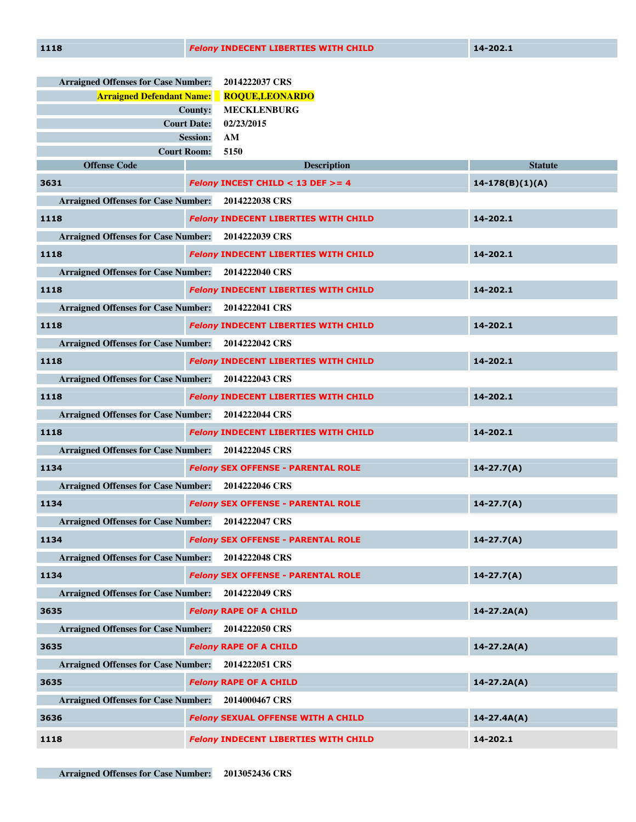| <b>Arraigned Offenses for Case Number:</b>         | 2014222037 CRS                                      |                   |  |
|----------------------------------------------------|-----------------------------------------------------|-------------------|--|
| <b>Arraigned Defendant Name:</b>                   | <b>ROQUE,LEONARDO</b>                               |                   |  |
|                                                    | <b>MECKLENBURG</b><br>County:                       |                   |  |
|                                                    | <b>Court Date:</b><br>02/23/2015                    |                   |  |
|                                                    | <b>Session:</b><br>AM<br>5150<br><b>Court Room:</b> |                   |  |
| <b>Offense Code</b>                                | <b>Description</b>                                  | <b>Statute</b>    |  |
| 3631                                               | <b>Felony INCEST CHILD &lt; 13 DEF &gt;= 4</b>      | $14-178(B)(1)(A)$ |  |
| <b>Arraigned Offenses for Case Number:</b>         | 2014222038 CRS                                      |                   |  |
| 1118                                               | <b>Felony INDECENT LIBERTIES WITH CHILD</b>         | 14-202.1          |  |
| <b>Arraigned Offenses for Case Number:</b>         | 2014222039 CRS                                      |                   |  |
| 1118                                               | <b>Felony INDECENT LIBERTIES WITH CHILD</b>         | 14-202.1          |  |
| <b>Arraigned Offenses for Case Number:</b>         | 2014222040 CRS                                      |                   |  |
| 1118                                               | <b>Felony INDECENT LIBERTIES WITH CHILD</b>         | 14-202.1          |  |
| <b>Arraigned Offenses for Case Number:</b>         | 2014222041 CRS                                      |                   |  |
| 1118                                               | <b>Felony INDECENT LIBERTIES WITH CHILD</b>         | 14-202.1          |  |
| <b>Arraigned Offenses for Case Number:</b>         | 2014222042 CRS                                      |                   |  |
| 1118                                               | <b>Felony INDECENT LIBERTIES WITH CHILD</b>         | 14-202.1          |  |
| <b>Arraigned Offenses for Case Number:</b>         | 2014222043 CRS                                      |                   |  |
| 1118                                               | <b>Felony INDECENT LIBERTIES WITH CHILD</b>         | 14-202.1          |  |
| Arraigned Offenses for Case Number: 2014222044 CRS |                                                     |                   |  |
| 1118                                               | <b>Felony INDECENT LIBERTIES WITH CHILD</b>         | 14-202.1          |  |
| <b>Arraigned Offenses for Case Number:</b>         | 2014222045 CRS                                      |                   |  |
| 1134                                               | <b>Felony SEX OFFENSE - PARENTAL ROLE</b>           | $14 - 27.7(A)$    |  |
| <b>Arraigned Offenses for Case Number:</b>         | 2014222046 CRS                                      |                   |  |
| 1134                                               | <b>Felony SEX OFFENSE - PARENTAL ROLE</b>           | $14 - 27.7(A)$    |  |
| <b>Arraigned Offenses for Case Number:</b>         | 2014222047 CRS                                      |                   |  |
| 1134                                               | <b>Felony SEX OFFENSE - PARENTAL ROLE</b>           | $14 - 27.7(A)$    |  |
| Arraigned Offenses for Case Number: 2014222048 CRS |                                                     |                   |  |
| 1134                                               | <b>Felony SEX OFFENSE - PARENTAL ROLE</b>           | $14 - 27.7(A)$    |  |
| <b>Arraigned Offenses for Case Number:</b>         | 2014222049 CRS                                      |                   |  |
| 3635                                               | <b>Felony RAPE OF A CHILD</b>                       | $14 - 27.2A(A)$   |  |
| Arraigned Offenses for Case Number: 2014222050 CRS |                                                     |                   |  |
| 3635                                               | <b>Felony RAPE OF A CHILD</b>                       | $14 - 27.2A(A)$   |  |
| <b>Arraigned Offenses for Case Number:</b>         | 2014222051 CRS                                      |                   |  |
| 3635                                               | <b>Felony RAPE OF A CHILD</b>                       | $14 - 27.2A(A)$   |  |
| <b>Arraigned Offenses for Case Number:</b>         | 2014000467 CRS                                      |                   |  |
| 3636                                               | <b>Felony SEXUAL OFFENSE WITH A CHILD</b>           | $14 - 27.4A(A)$   |  |
| 1118                                               | <b>Felony INDECENT LIBERTIES WITH CHILD</b>         | 14-202.1          |  |